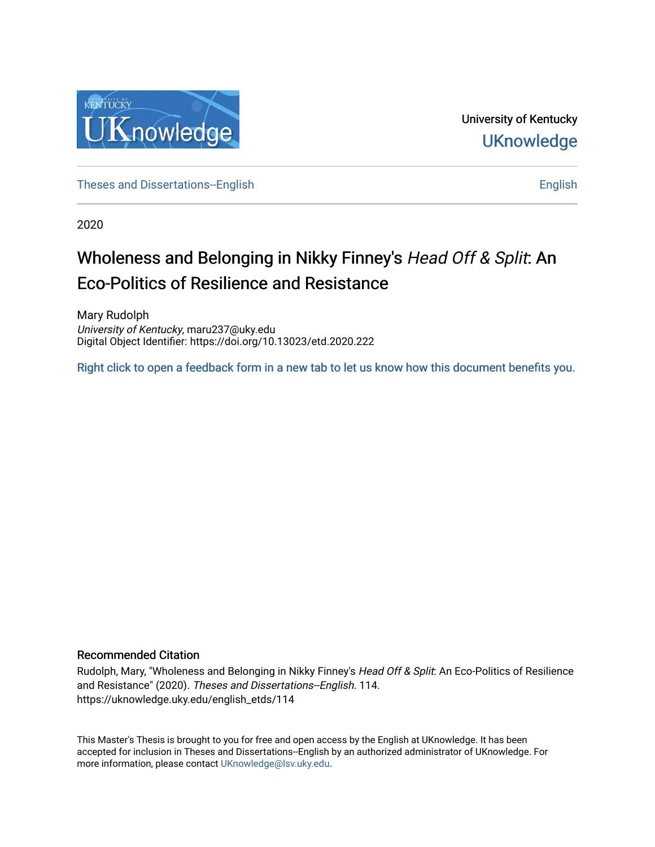

University of Kentucky **UKnowledge** 

[Theses and Dissertations--English](https://uknowledge.uky.edu/english_etds) [English](https://uknowledge.uky.edu/english) English English English English English

2020

# Wholeness and Belonging in Nikky Finney's Head Off & Split: An Eco-Politics of Resilience and Resistance

Mary Rudolph University of Kentucky, maru237@uky.edu Digital Object Identifier: https://doi.org/10.13023/etd.2020.222

[Right click to open a feedback form in a new tab to let us know how this document benefits you.](https://uky.az1.qualtrics.com/jfe/form/SV_9mq8fx2GnONRfz7)

#### Recommended Citation

Rudolph, Mary, "Wholeness and Belonging in Nikky Finney's Head Off & Split: An Eco-Politics of Resilience and Resistance" (2020). Theses and Dissertations--English. 114. https://uknowledge.uky.edu/english\_etds/114

This Master's Thesis is brought to you for free and open access by the English at UKnowledge. It has been accepted for inclusion in Theses and Dissertations--English by an authorized administrator of UKnowledge. For more information, please contact [UKnowledge@lsv.uky.edu](mailto:UKnowledge@lsv.uky.edu).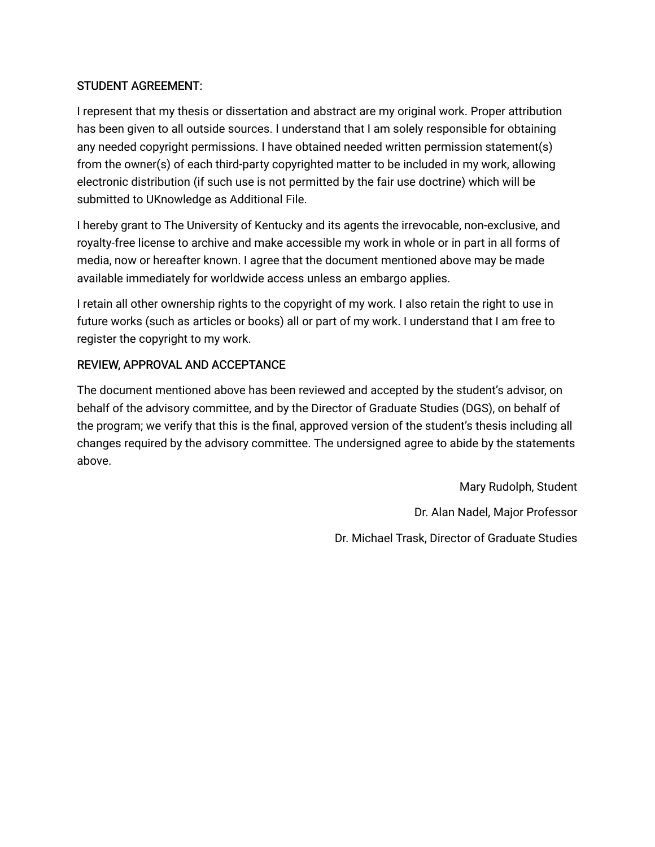## STUDENT AGREEMENT:

I represent that my thesis or dissertation and abstract are my original work. Proper attribution has been given to all outside sources. I understand that I am solely responsible for obtaining any needed copyright permissions. I have obtained needed written permission statement(s) from the owner(s) of each third-party copyrighted matter to be included in my work, allowing electronic distribution (if such use is not permitted by the fair use doctrine) which will be submitted to UKnowledge as Additional File.

I hereby grant to The University of Kentucky and its agents the irrevocable, non-exclusive, and royalty-free license to archive and make accessible my work in whole or in part in all forms of media, now or hereafter known. I agree that the document mentioned above may be made available immediately for worldwide access unless an embargo applies.

I retain all other ownership rights to the copyright of my work. I also retain the right to use in future works (such as articles or books) all or part of my work. I understand that I am free to register the copyright to my work.

## REVIEW, APPROVAL AND ACCEPTANCE

The document mentioned above has been reviewed and accepted by the student's advisor, on behalf of the advisory committee, and by the Director of Graduate Studies (DGS), on behalf of the program; we verify that this is the final, approved version of the student's thesis including all changes required by the advisory committee. The undersigned agree to abide by the statements above.

> Mary Rudolph, Student Dr. Alan Nadel, Major Professor Dr. Michael Trask, Director of Graduate Studies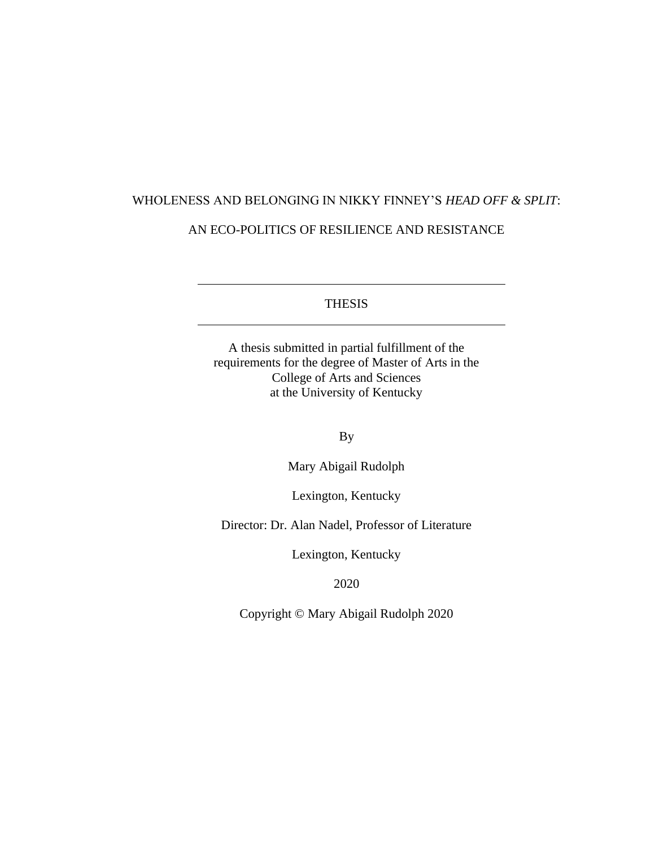# WHOLENESS AND BELONGING IN NIKKY FINNEY'S *HEAD OFF & SPLIT*:

# AN ECO-POLITICS OF RESILIENCE AND RESISTANCE

THESIS

A thesis submitted in partial fulfillment of the requirements for the degree of Master of Arts in the College of Arts and Sciences at the University of Kentucky

By

Mary Abigail Rudolph

Lexington, Kentucky

Director: Dr. Alan Nadel, Professor of Literature

Lexington, Kentucky

2020

Copyright © Mary Abigail Rudolph 2020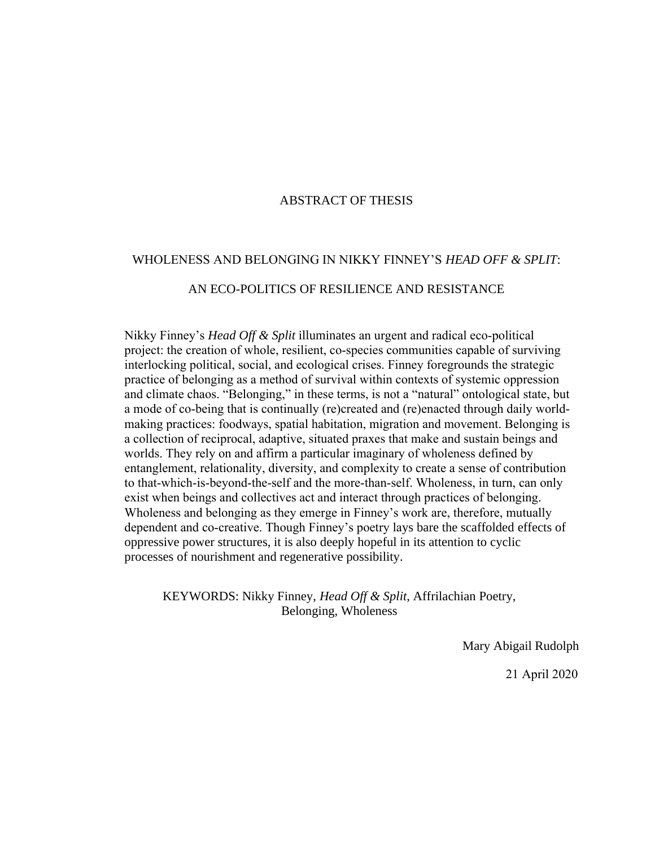### ABSTRACT OF THESIS

#### WHOLENESS AND BELONGING IN NIKKY FINNEY'S *HEAD OFF & SPLIT*:

#### AN ECO-POLITICS OF RESILIENCE AND RESISTANCE

Nikky Finney's *Head Off & Split* illuminates an urgent and radical eco-political project: the creation of whole, resilient, co-species communities capable of surviving interlocking political, social, and ecological crises. Finney foregrounds the strategic practice of belonging as a method of survival within contexts of systemic oppression and climate chaos. "Belonging," in these terms, is not a "natural" ontological state, but a mode of co-being that is continually (re)created and (re)enacted through daily worldmaking practices: foodways, spatial habitation, migration and movement. Belonging is a collection of reciprocal, adaptive, situated praxes that make and sustain beings and worlds. They rely on and affirm a particular imaginary of wholeness defined by entanglement, relationality, diversity, and complexity to create a sense of contribution to that-which-is-beyond-the-self and the more-than-self. Wholeness, in turn, can only exist when beings and collectives act and interact through practices of belonging. Wholeness and belonging as they emerge in Finney's work are, therefore, mutually dependent and co-creative. Though Finney's poetry lays bare the scaffolded effects of oppressive power structures, it is also deeply hopeful in its attention to cyclic processes of nourishment and regenerative possibility.

KEYWORDS: Nikky Finney, *Head Off & Split*, Affrilachian Poetry, Belonging, Wholeness

Mary Abigail Rudolph

21 April 2020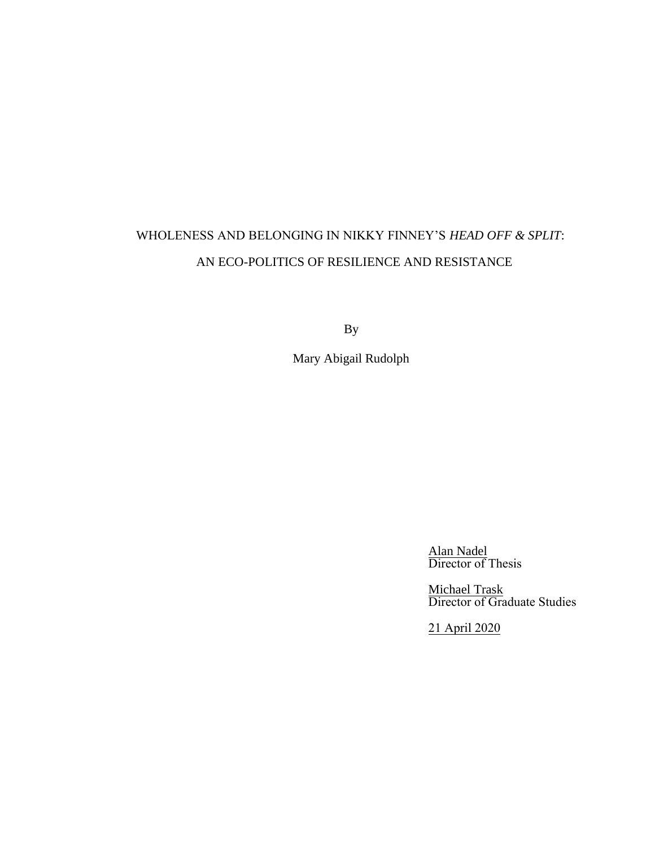# WHOLENESS AND BELONGING IN NIKKY FINNEY'S *HEAD OFF & SPLIT*: AN ECO-POLITICS OF RESILIENCE AND RESISTANCE

By

Mary Abigail Rudolph

Alan Nadel Director of Thesis

Michael Trask Director of Graduate Studies

21 April 2020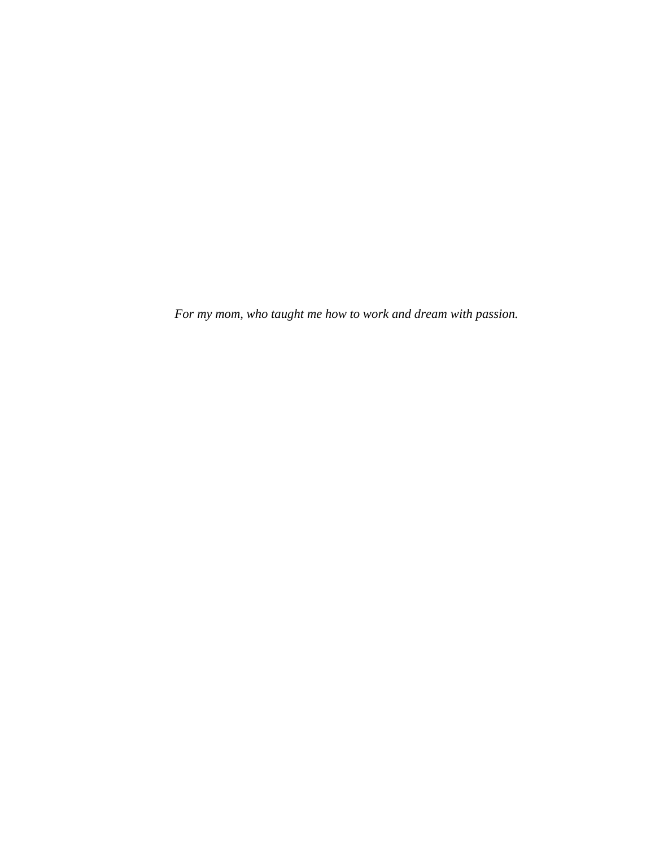*For my mom, who taught me how to work and dream with passion.*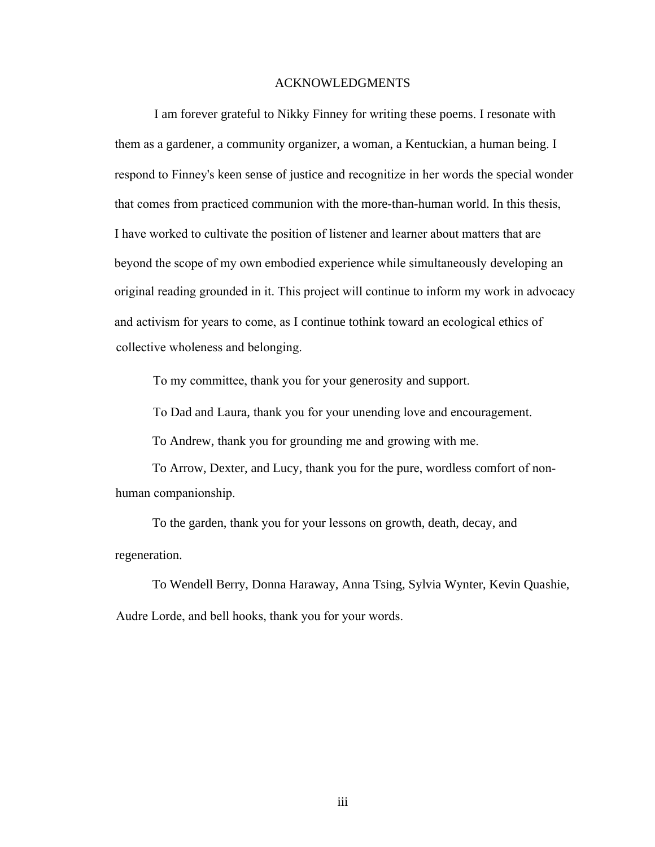#### ACKNOWLEDGMENTS

I am forever grateful to Nikky Finney for writing these poems. I resonate with them as a gardener, a community organizer, a woman, a Kentuckian, a human being. I respond to Finney's keen sense of justice and recognitize in her words the special wonder that comes from practiced communion with the more-than-human world. In this thesis, I have worked to cultivate the position of listener and learner about matters that are beyond the scope of my own embodied experience while simultaneously developing an original reading grounded in it. This project will continue to inform my work in advocacy and activism for years to come, as I continue tothink toward an ecological ethics of collective wholeness and belonging.

To my committee, thank you for your generosity and support.

To Dad and Laura, thank you for your unending love and encouragement.

To Andrew, thank you for grounding me and growing with me.

To Arrow, Dexter, and Lucy, thank you for the pure, wordless comfort of nonhuman companionship.

To the garden, thank you for your lessons on growth, death, decay, and regeneration.

To Wendell Berry, Donna Haraway, Anna Tsing, Sylvia Wynter, Kevin Quashie, Audre Lorde, and bell hooks, thank you for your words.

iii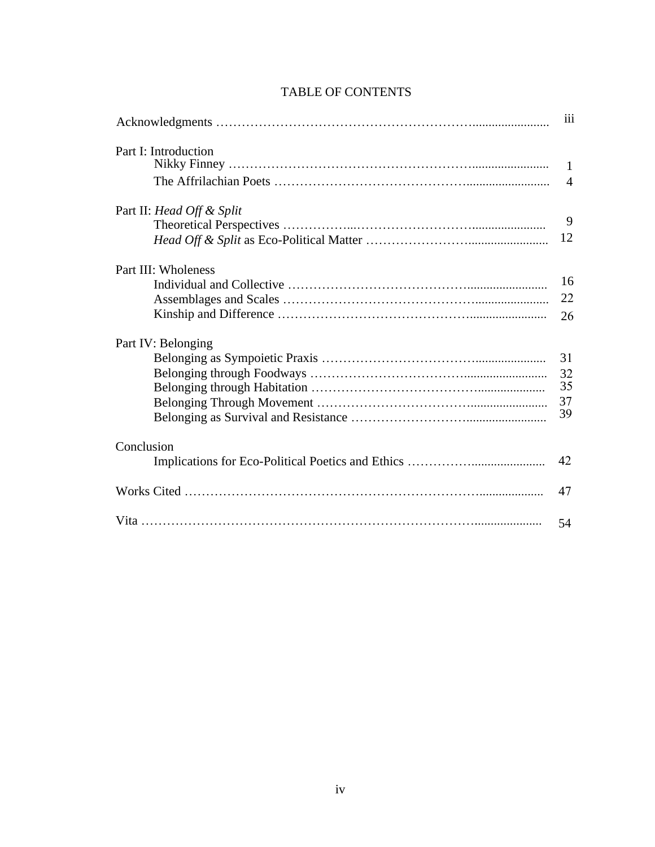|                           | iii                              |
|---------------------------|----------------------------------|
| Part I: Introduction      |                                  |
|                           | $\blacksquare$<br>$\overline{4}$ |
|                           |                                  |
| Part II: Head Off & Split | 9                                |
|                           |                                  |
|                           | 12                               |
| Part III: Wholeness       |                                  |
|                           | 16                               |
|                           | 22                               |
|                           | 26                               |
| Part IV: Belonging        |                                  |
|                           | 31                               |
|                           | 32                               |
|                           | 35                               |
|                           | 37                               |
|                           | 39                               |
| Conclusion                |                                  |
|                           | 42                               |
|                           | 47                               |
|                           | 54                               |

### TABLE OF CONTENTS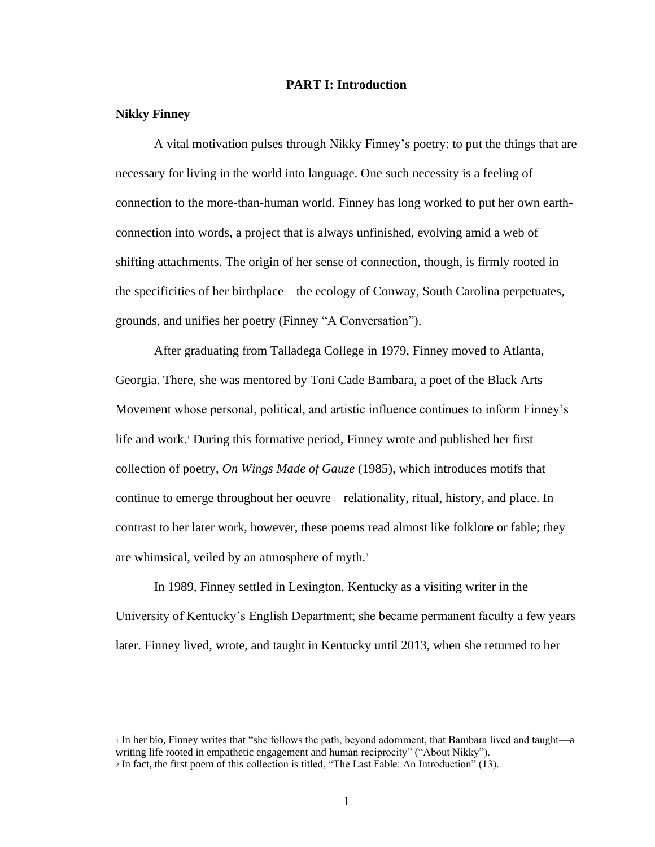#### **PART I: Introduction**

#### **Nikky Finney**

A vital motivation pulses through Nikky Finney's poetry: to put the things that are necessary for living in the world into language. One such necessity is a feeling of connection to the more-than-human world. Finney has long worked to put her own earthconnection into words, a project that is always unfinished, evolving amid a web of shifting attachments. The origin of her sense of connection, though, is firmly rooted in the specificities of her birthplace—the ecology of Conway, South Carolina perpetuates, grounds, and unifies her poetry (Finney "A Conversation").

After graduating from Talladega College in 1979, Finney moved to Atlanta, Georgia. There, she was mentored by Toni Cade Bambara, a poet of the Black Arts Movement whose personal, political, and artistic influence continues to inform Finney's life and work.<sup>1</sup> During this formative period, Finney wrote and published her first collection of poetry, *On Wings Made of Gauze* (1985), which introduces motifs that continue to emerge throughout her oeuvre—relationality, ritual, history, and place. In contrast to her later work, however, these poems read almost like folklore or fable; they are whimsical, veiled by an atmosphere of myth.<sup>2</sup>

In 1989, Finney settled in Lexington, Kentucky as a visiting writer in the University of Kentucky's English Department; she became permanent faculty a few years later. Finney lived, wrote, and taught in Kentucky until 2013, when she returned to her

<sup>1</sup> In her bio, Finney writes that "she follows the path, beyond adornment, that Bambara lived and taught—a writing life rooted in empathetic engagement and human reciprocity" ("About Nikky").

<sup>2</sup> In fact, the first poem of this collection is titled, "The Last Fable: An Introduction" (13).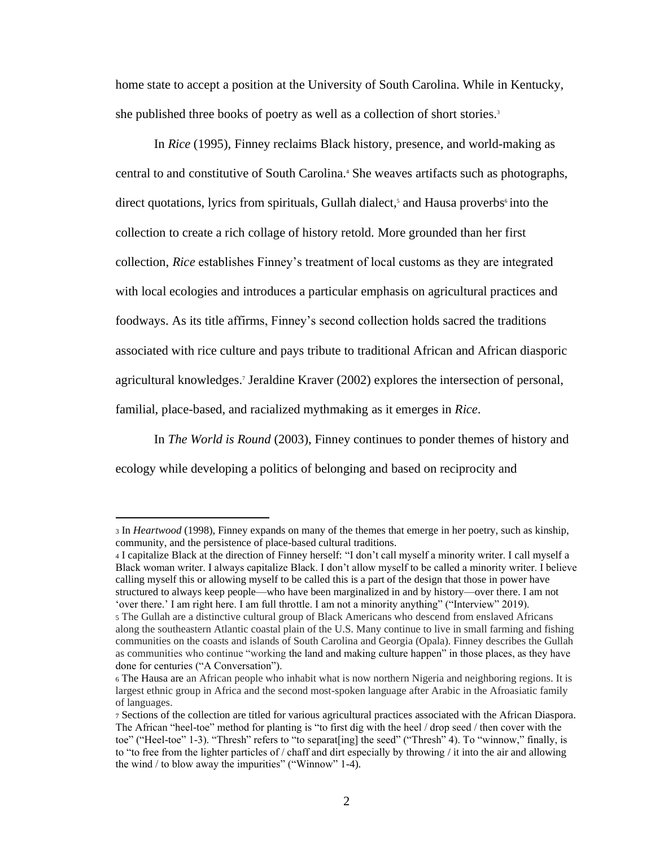home state to accept a position at the University of South Carolina. While in Kentucky, she published three books of poetry as well as a collection of short stories.<sup>3</sup>

In *Rice* (1995), Finney reclaims Black history, presence, and world-making as central to and constitutive of South Carolina.<sup>4</sup> She weaves artifacts such as photographs, direct quotations, lyrics from spirituals, Gullah dialect,<sup>5</sup> and Hausa proverbs<sup>6</sup> into the collection to create a rich collage of history retold. More grounded than her first collection, *Rice* establishes Finney's treatment of local customs as they are integrated with local ecologies and introduces a particular emphasis on agricultural practices and foodways. As its title affirms, Finney's second collection holds sacred the traditions associated with rice culture and pays tribute to traditional African and African diasporic agricultural knowledges.<sup>7</sup> Jeraldine Kraver (2002) explores the intersection of personal, familial, place-based, and racialized mythmaking as it emerges in *Rice*.

In *The World is Round* (2003), Finney continues to ponder themes of history and ecology while developing a politics of belonging and based on reciprocity and

<sup>3</sup> In *Heartwood* (1998), Finney expands on many of the themes that emerge in her poetry, such as kinship, community, and the persistence of place-based cultural traditions.

<sup>4</sup> I capitalize Black at the direction of Finney herself: "I don't call myself a minority writer. I call myself a Black woman writer. I always capitalize Black. I don't allow myself to be called a minority writer. I believe calling myself this or allowing myself to be called this is a part of the design that those in power have structured to always keep people—who have been marginalized in and by history—over there. I am not 'over there.' I am right here. I am full throttle. I am not a minority anything" ("Interview" 2019).

<sup>5</sup> The Gullah are a distinctive cultural group of Black Americans who descend from enslaved Africans along the southeastern Atlantic coastal plain of the U.S. Many continue to live in small farming and fishing communities on the coasts and islands of South Carolina and Georgia (Opala). Finney describes the Gullah as communities who continue "working the land and making culture happen" in those places, as they have done for centuries ("A Conversation").

<sup>6</sup> The Hausa are an African people who inhabit what is now northern Nigeria and neighboring regions. It is largest ethnic group in Africa and the second most-spoken language after Arabic in the Afroasiatic family of languages.

<sup>7</sup> Sections of the collection are titled for various agricultural practices associated with the African Diaspora. The African "heel-toe" method for planting is "to first dig with the heel / drop seed / then cover with the toe" ("Heel-toe" 1-3). "Thresh" refers to "to separat[ing] the seed" ("Thresh" 4). To "winnow," finally, is to "to free from the lighter particles of / chaff and dirt especially by throwing / it into the air and allowing the wind / to blow away the impurities" ("Winnow" 1-4).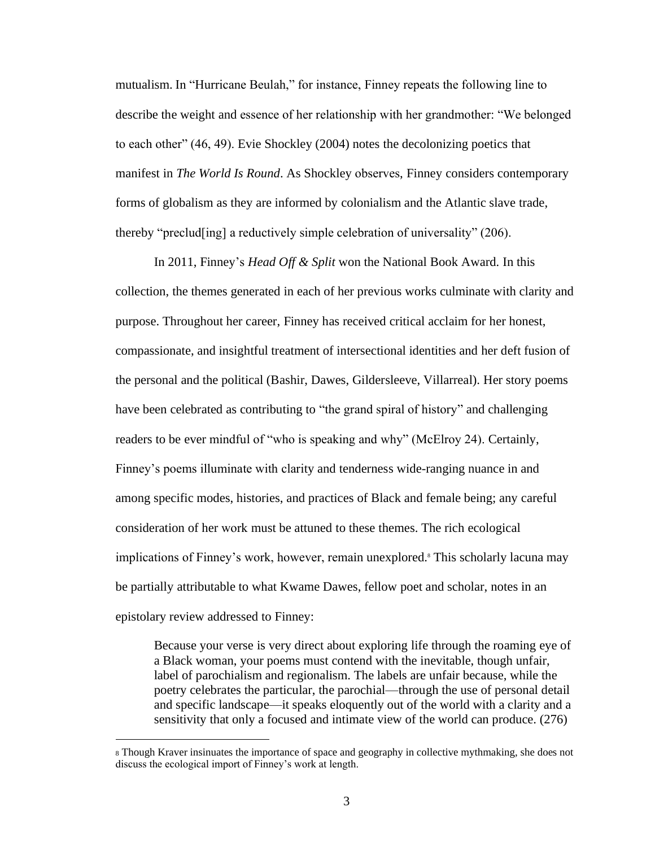mutualism. In "Hurricane Beulah," for instance, Finney repeats the following line to describe the weight and essence of her relationship with her grandmother: "We belonged to each other" (46, 49). Evie Shockley (2004) notes the decolonizing poetics that manifest in *The World Is Round*. As Shockley observes, Finney considers contemporary forms of globalism as they are informed by colonialism and the Atlantic slave trade, thereby "preclud[ing] a reductively simple celebration of universality" (206).

In 2011, Finney's *Head Off & Split* won the National Book Award*.* In this collection, the themes generated in each of her previous works culminate with clarity and purpose. Throughout her career, Finney has received critical acclaim for her honest, compassionate, and insightful treatment of intersectional identities and her deft fusion of the personal and the political (Bashir, Dawes, Gildersleeve, Villarreal). Her story poems have been celebrated as contributing to "the grand spiral of history" and challenging readers to be ever mindful of "who is speaking and why" (McElroy 24). Certainly, Finney's poems illuminate with clarity and tenderness wide-ranging nuance in and among specific modes, histories, and practices of Black and female being; any careful consideration of her work must be attuned to these themes. The rich ecological implications of Finney's work, however, remain unexplored.<sup>8</sup> This scholarly lacuna may be partially attributable to what Kwame Dawes, fellow poet and scholar, notes in an epistolary review addressed to Finney:

Because your verse is very direct about exploring life through the roaming eye of a Black woman, your poems must contend with the inevitable, though unfair, label of parochialism and regionalism. The labels are unfair because, while the poetry celebrates the particular, the parochial—through the use of personal detail and specific landscape—it speaks eloquently out of the world with a clarity and a sensitivity that only a focused and intimate view of the world can produce. (276)

<sup>8</sup> Though Kraver insinuates the importance of space and geography in collective mythmaking, she does not discuss the ecological import of Finney's work at length.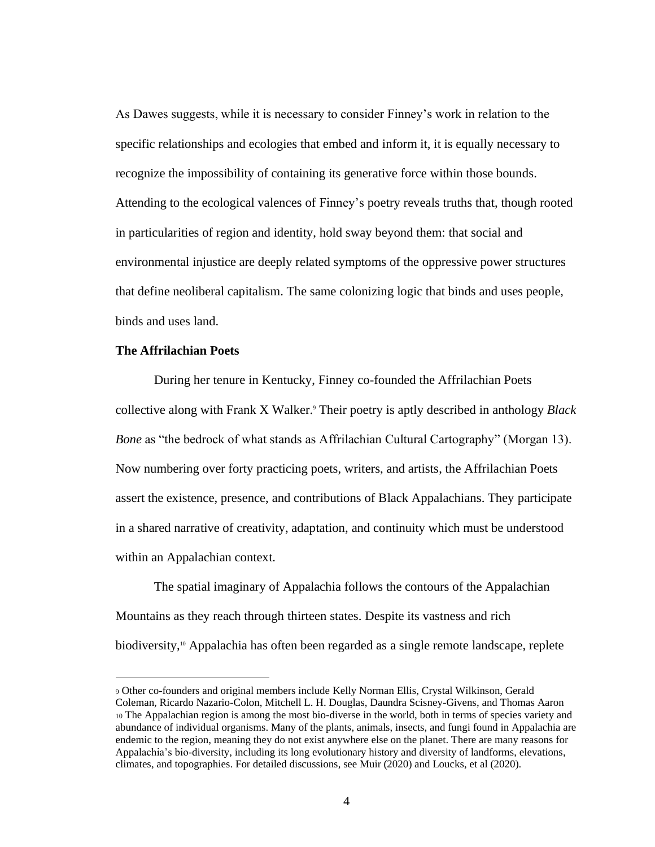As Dawes suggests, while it is necessary to consider Finney's work in relation to the specific relationships and ecologies that embed and inform it, it is equally necessary to recognize the impossibility of containing its generative force within those bounds. Attending to the ecological valences of Finney's poetry reveals truths that, though rooted in particularities of region and identity, hold sway beyond them: that social and environmental injustice are deeply related symptoms of the oppressive power structures that define neoliberal capitalism. The same colonizing logic that binds and uses people, binds and uses land.

#### **The Affrilachian Poets**

During her tenure in Kentucky, Finney co-founded the Affrilachian Poets collective along with Frank X Walker.<sup>9</sup> Their poetry is aptly described in anthology *Black Bone* as "the bedrock of what stands as Affrilachian Cultural Cartography" (Morgan 13). Now numbering over forty practicing poets, writers, and artists, the Affrilachian Poets assert the existence, presence, and contributions of Black Appalachians. They participate in a shared narrative of creativity, adaptation, and continuity which must be understood within an Appalachian context.

The spatial imaginary of Appalachia follows the contours of the Appalachian Mountains as they reach through thirteen states. Despite its vastness and rich biodiversity,10 Appalachia has often been regarded as a single remote landscape, replete

<sup>9</sup> Other co-founders and original members include Kelly Norman Ellis, Crystal Wilkinson, Gerald Coleman, Ricardo Nazario-Colon, Mitchell L. H. Douglas, Daundra Scisney-Givens, and Thomas Aaron <sup>10</sup> The Appalachian region is among the most bio-diverse in the world, both in terms of species variety and abundance of individual organisms. Many of the plants, animals, insects, and fungi found in Appalachia are endemic to the region, meaning they do not exist anywhere else on the planet. There are many reasons for Appalachia's bio-diversity, including its long evolutionary history and diversity of landforms, elevations, climates, and topographies. For detailed discussions, see Muir (2020) and Loucks, et al (2020).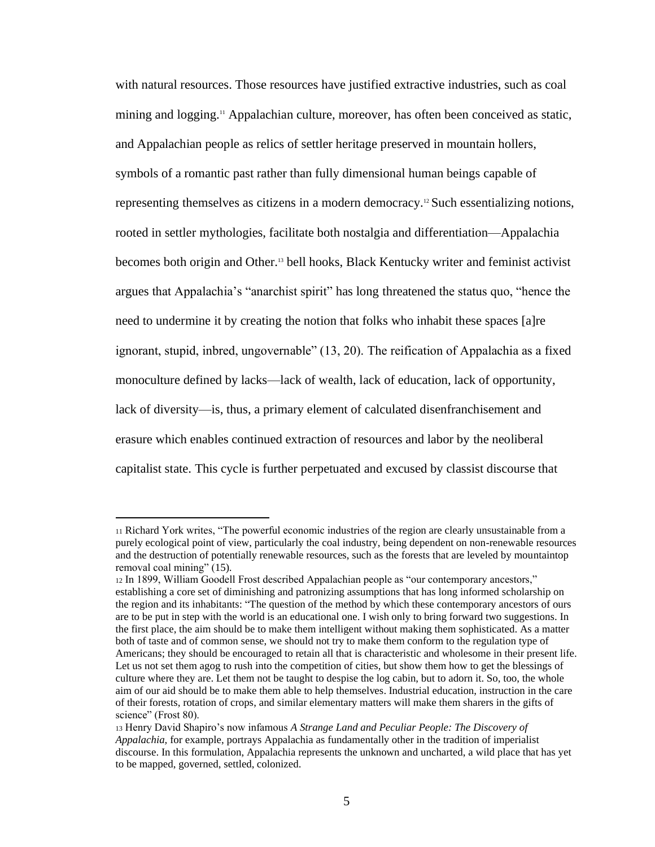with natural resources. Those resources have justified extractive industries, such as coal mining and logging.<sup>11</sup> Appalachian culture, moreover, has often been conceived as static, and Appalachian people as relics of settler heritage preserved in mountain hollers, symbols of a romantic past rather than fully dimensional human beings capable of representing themselves as citizens in a modern democracy.<sup>12</sup> Such essentializing notions, rooted in settler mythologies, facilitate both nostalgia and differentiation—Appalachia becomes both origin and Other.<sup>13</sup> bell hooks, Black Kentucky writer and feminist activist argues that Appalachia's "anarchist spirit" has long threatened the status quo, "hence the need to undermine it by creating the notion that folks who inhabit these spaces [a]re ignorant, stupid, inbred, ungovernable" (13, 20). The reification of Appalachia as a fixed monoculture defined by lacks—lack of wealth, lack of education, lack of opportunity, lack of diversity—is, thus, a primary element of calculated disenfranchisement and erasure which enables continued extraction of resources and labor by the neoliberal capitalist state. This cycle is further perpetuated and excused by classist discourse that

<sup>11</sup> Richard York writes, "The powerful economic industries of the region are clearly unsustainable from a purely ecological point of view, particularly the coal industry, being dependent on non-renewable resources and the destruction of potentially renewable resources, such as the forests that are leveled by mountaintop removal coal mining" (15).

<sup>12</sup> In 1899, William Goodell Frost described Appalachian people as "our contemporary ancestors," establishing a core set of diminishing and patronizing assumptions that has long informed scholarship on the region and its inhabitants: "The question of the method by which these contemporary ancestors of ours are to be put in step with the world is an educational one. I wish only to bring forward two suggestions. In the first place, the aim should be to make them intelligent without making them sophisticated. As a matter both of taste and of common sense, we should not try to make them conform to the regulation type of Americans; they should be encouraged to retain all that is characteristic and wholesome in their present life. Let us not set them agog to rush into the competition of cities, but show them how to get the blessings of culture where they are. Let them not be taught to despise the log cabin, but to adorn it. So, too, the whole aim of our aid should be to make them able to help themselves. Industrial education, instruction in the care of their forests, rotation of crops, and similar elementary matters will make them sharers in the gifts of science" (Frost 80).

<sup>13</sup> Henry David Shapiro's now infamous *A Strange Land and Peculiar People: The Discovery of Appalachia,* for example, portrays Appalachia as fundamentally other in the tradition of imperialist discourse. In this formulation, Appalachia represents the unknown and uncharted, a wild place that has yet to be mapped, governed, settled, colonized.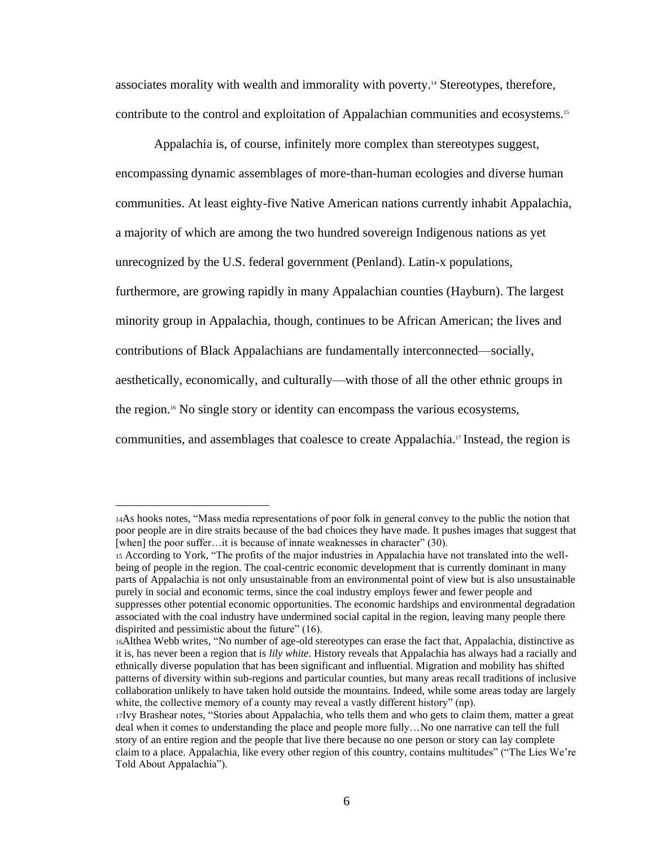associates morality with wealth and immorality with poverty.<sup>14</sup> Stereotypes, therefore, contribute to the control and exploitation of Appalachian communities and ecosystems.<sup>15</sup>

Appalachia is, of course, infinitely more complex than stereotypes suggest, encompassing dynamic assemblages of more-than-human ecologies and diverse human communities. At least eighty-five Native American nations currently inhabit Appalachia, a majority of which are among the two hundred sovereign Indigenous nations as yet unrecognized by the U.S. federal government (Penland). Latin-x populations, furthermore, are growing rapidly in many Appalachian counties (Hayburn). The largest minority group in Appalachia, though, continues to be African American; the lives and contributions of Black Appalachians are fundamentally interconnected—socially, aesthetically, economically, and culturally—with those of all the other ethnic groups in the region.16 No single story or identity can encompass the various ecosystems, communities, and assemblages that coalesce to create Appalachia.<sup>17</sup> Instead, the region is

<sup>14</sup>As hooks notes, "Mass media representations of poor folk in general convey to the public the notion that poor people are in dire straits because of the bad choices they have made. It pushes images that suggest that [when] the poor suffer... it is because of innate weaknesses in character" (30).

<sup>15</sup> According to York, "The profits of the major industries in Appalachia have not translated into the wellbeing of people in the region. The coal-centric economic development that is currently dominant in many parts of Appalachia is not only unsustainable from an environmental point of view but is also unsustainable purely in social and economic terms, since the coal industry employs fewer and fewer people and suppresses other potential economic opportunities. The economic hardships and environmental degradation associated with the coal industry have undermined social capital in the region, leaving many people there dispirited and pessimistic about the future" (16).

<sup>16</sup>Althea Webb writes, "No number of age-old stereotypes can erase the fact that, Appalachia, distinctive as it is, has never been a region that is *lily white*. History reveals that Appalachia has always had a racially and ethnically diverse population that has been significant and influential. Migration and mobility has shifted patterns of diversity within sub-regions and particular counties, but many areas recall traditions of inclusive collaboration unlikely to have taken hold outside the mountains. Indeed, while some areas today are largely white, the collective memory of a county may reveal a vastly different history" (np).

<sup>17</sup>Ivy Brashear notes, "Stories about Appalachia, who tells them and who gets to claim them, matter a great deal when it comes to understanding the place and people more fully…No one narrative can tell the full story of an entire region and the people that live there because no one person or story can lay complete claim to a place. Appalachia, like every other region of this country, contains multitudes" ("The Lies We're Told About Appalachia").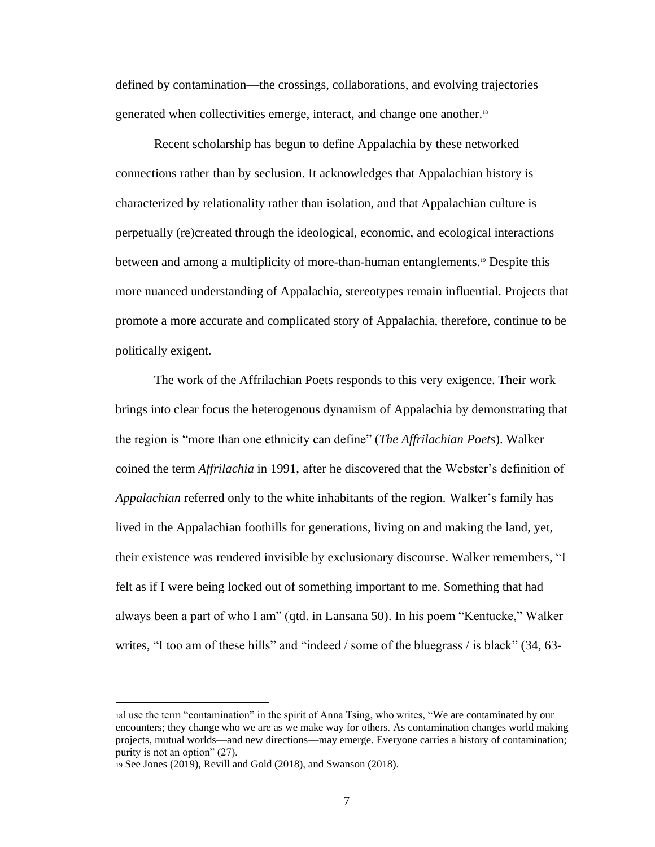defined by contamination—the crossings, collaborations, and evolving trajectories generated when collectivities emerge, interact, and change one another.<sup>18</sup>

Recent scholarship has begun to define Appalachia by these networked connections rather than by seclusion. It acknowledges that Appalachian history is characterized by relationality rather than isolation, and that Appalachian culture is perpetually (re)created through the ideological, economic, and ecological interactions between and among a multiplicity of more-than-human entanglements.<sup>19</sup> Despite this more nuanced understanding of Appalachia, stereotypes remain influential. Projects that promote a more accurate and complicated story of Appalachia, therefore, continue to be politically exigent.

The work of the Affrilachian Poets responds to this very exigence. Their work brings into clear focus the heterogenous dynamism of Appalachia by demonstrating that the region is "more than one ethnicity can define" (*The Affrilachian Poets*). Walker coined the term *Affrilachia* in 1991, after he discovered that the Webster's definition of *Appalachian* referred only to the white inhabitants of the region. Walker's family has lived in the Appalachian foothills for generations, living on and making the land, yet, their existence was rendered invisible by exclusionary discourse. Walker remembers, "I felt as if I were being locked out of something important to me. Something that had always been a part of who I am" (qtd. in Lansana 50). In his poem "Kentucke," Walker writes, "I too am of these hills" and "indeed / some of the bluegrass / is black" (34, 63-

<sup>18</sup>I use the term "contamination" in the spirit of Anna Tsing, who writes, "We are contaminated by our encounters; they change who we are as we make way for others. As contamination changes world making projects, mutual worlds—and new directions—may emerge. Everyone carries a history of contamination; purity is not an option" (27).

<sup>19</sup> See Jones (2019), Revill and Gold (2018), and Swanson (2018).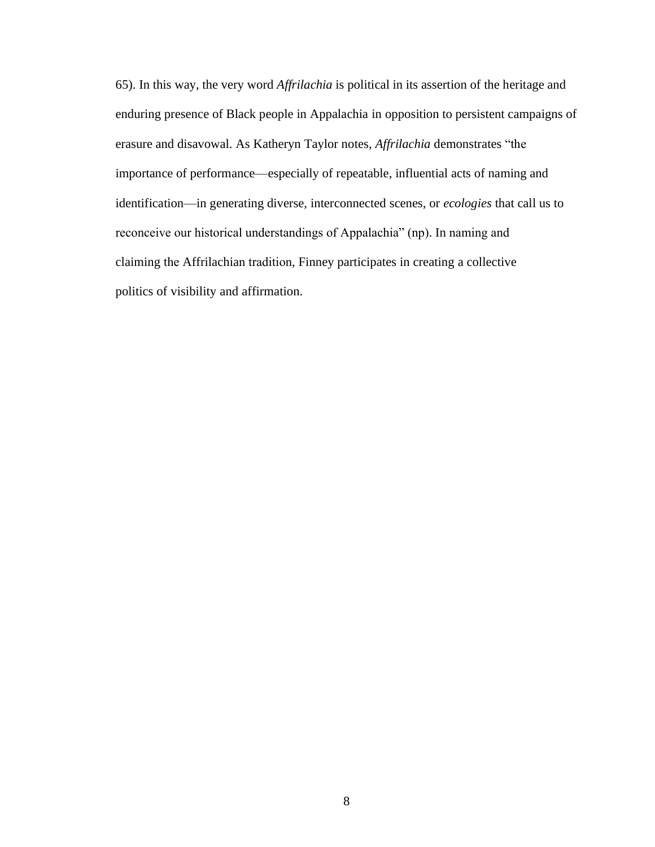65). In this way, the very word *Affrilachia* is political in its assertion of the heritage and enduring presence of Black people in Appalachia in opposition to persistent campaigns of erasure and disavowal. As Katheryn Taylor notes, *Affrilachia* demonstrates "the importance of performance—especially of repeatable, influential acts of naming and identification—in generating diverse, interconnected scenes, or *ecologies* that call us to reconceive our historical understandings of Appalachia" (np). In naming and claiming the Affrilachian tradition, Finney participates in creating a collective politics of visibility and affirmation.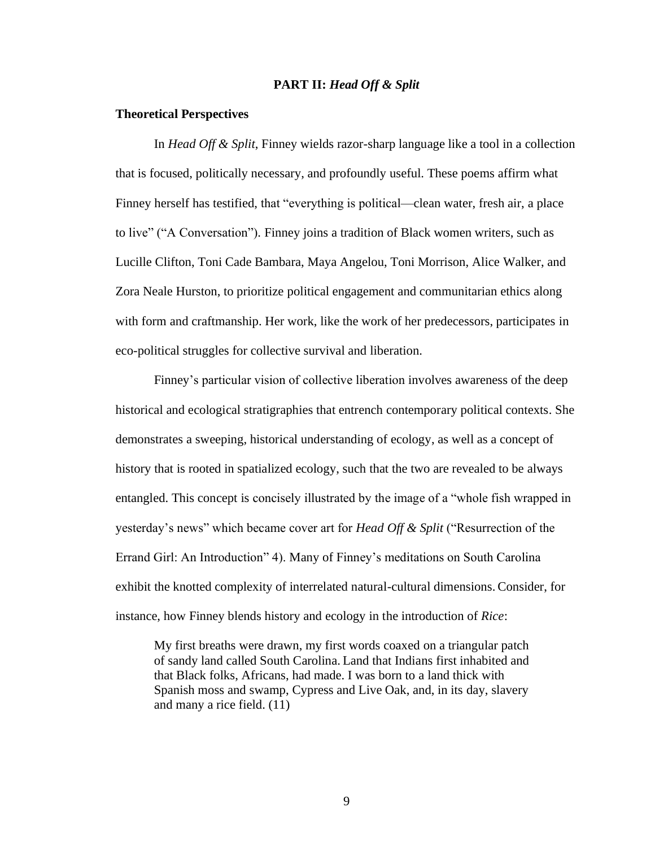#### **PART II:** *Head Off & Split*

#### **Theoretical Perspectives**

In *Head Off & Split*, Finney wields razor-sharp language like a tool in a collection that is focused, politically necessary, and profoundly useful. These poems affirm what Finney herself has testified, that "everything is political—clean water, fresh air, a place to live" ("A Conversation"). Finney joins a tradition of Black women writers, such as Lucille Clifton, Toni Cade Bambara, Maya Angelou, Toni Morrison, Alice Walker, and Zora Neale Hurston, to prioritize political engagement and communitarian ethics along with form and craftmanship. Her work, like the work of her predecessors, participates in eco-political struggles for collective survival and liberation.

Finney's particular vision of collective liberation involves awareness of the deep historical and ecological stratigraphies that entrench contemporary political contexts. She demonstrates a sweeping, historical understanding of ecology, as well as a concept of history that is rooted in spatialized ecology, such that the two are revealed to be always entangled. This concept is concisely illustrated by the image of a "whole fish wrapped in yesterday's news" which became cover art for *Head Off & Split* ("Resurrection of the Errand Girl: An Introduction" 4). Many of Finney's meditations on South Carolina exhibit the knotted complexity of interrelated natural-cultural dimensions. Consider, for instance, how Finney blends history and ecology in the introduction of *Rice*:

My first breaths were drawn, my first words coaxed on a triangular patch of sandy land called South Carolina. Land that Indians first inhabited and that Black folks, Africans, had made. I was born to a land thick with Spanish moss and swamp, Cypress and Live Oak, and, in its day, slavery and many a rice field. (11)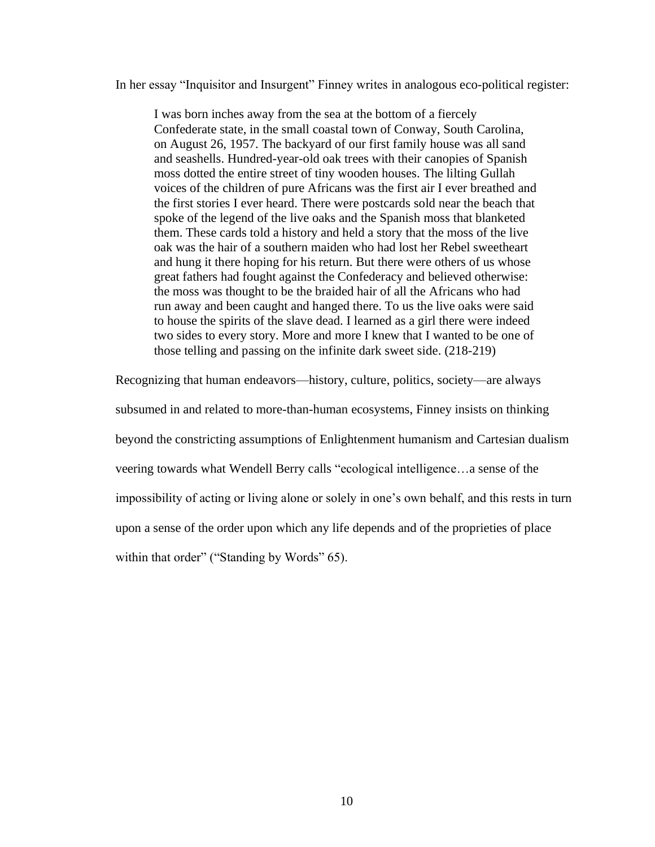In her essay "Inquisitor and Insurgent" Finney writes in analogous eco-political register:

I was born inches away from the sea at the bottom of a fiercely Confederate state, in the small coastal town of Conway, South Carolina, on August 26, 1957. The backyard of our first family house was all sand and seashells. Hundred-year-old oak trees with their canopies of Spanish moss dotted the entire street of tiny wooden houses. The lilting Gullah voices of the children of pure Africans was the first air I ever breathed and the first stories I ever heard. There were postcards sold near the beach that spoke of the legend of the live oaks and the Spanish moss that blanketed them. These cards told a history and held a story that the moss of the live oak was the hair of a southern maiden who had lost her Rebel sweetheart and hung it there hoping for his return. But there were others of us whose great fathers had fought against the Confederacy and believed otherwise: the moss was thought to be the braided hair of all the Africans who had run away and been caught and hanged there. To us the live oaks were said to house the spirits of the slave dead. I learned as a girl there were indeed two sides to every story. More and more I knew that I wanted to be one of those telling and passing on the infinite dark sweet side. (218-219)

Recognizing that human endeavors—history, culture, politics, society—are always

subsumed in and related to more-than-human ecosystems, Finney insists on thinking

beyond the constricting assumptions of Enlightenment humanism and Cartesian dualism

veering towards what Wendell Berry calls "ecological intelligence…a sense of the

impossibility of acting or living alone or solely in one's own behalf, and this rests in turn

upon a sense of the order upon which any life depends and of the proprieties of place

within that order" ("Standing by Words" 65).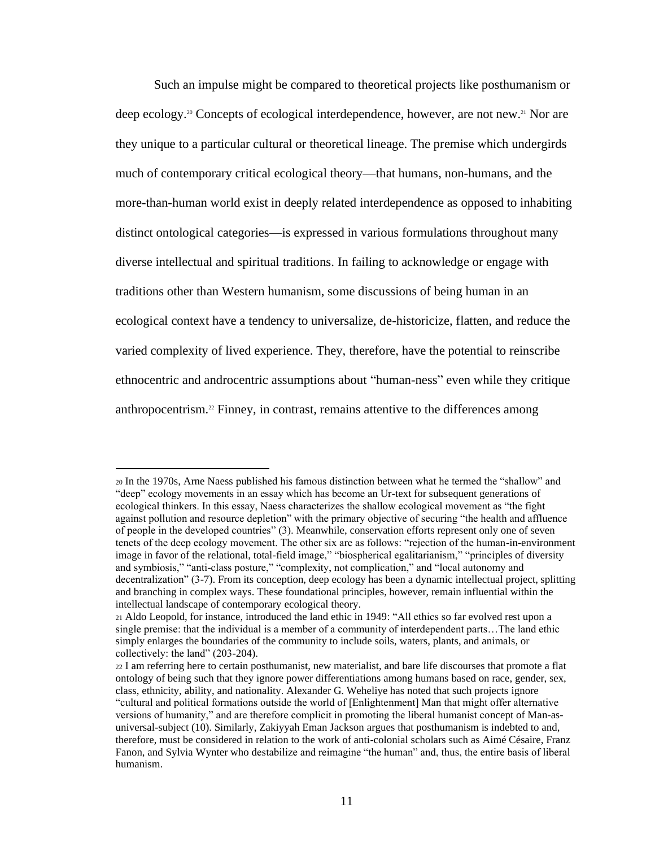Such an impulse might be compared to theoretical projects like posthumanism or deep ecology.20 Concepts of ecological interdependence, however, are not new.21 Nor are they unique to a particular cultural or theoretical lineage. The premise which undergirds much of contemporary critical ecological theory—that humans, non-humans, and the more-than-human world exist in deeply related interdependence as opposed to inhabiting distinct ontological categories—is expressed in various formulations throughout many diverse intellectual and spiritual traditions. In failing to acknowledge or engage with traditions other than Western humanism, some discussions of being human in an ecological context have a tendency to universalize, de-historicize, flatten, and reduce the varied complexity of lived experience. They, therefore, have the potential to reinscribe ethnocentric and androcentric assumptions about "human-ness" even while they critique anthropocentrism.22 Finney, in contrast, remains attentive to the differences among

<sup>20</sup> In the 1970s, Arne Naess published his famous distinction between what he termed the "shallow" and "deep" ecology movements in an essay which has become an Ur-text for subsequent generations of ecological thinkers. In this essay, Naess characterizes the shallow ecological movement as "the fight against pollution and resource depletion" with the primary objective of securing "the health and affluence of people in the developed countries" (3). Meanwhile, conservation efforts represent only one of seven tenets of the deep ecology movement. The other six are as follows: "rejection of the human-in-environment image in favor of the relational, total-field image," "biospherical egalitarianism," "principles of diversity and symbiosis," "anti-class posture," "complexity, not complication," and "local autonomy and decentralization" (3-7). From its conception, deep ecology has been a dynamic intellectual project, splitting and branching in complex ways. These foundational principles, however, remain influential within the intellectual landscape of contemporary ecological theory.

<sup>21</sup> Aldo Leopold, for instance, introduced the land ethic in 1949: "All ethics so far evolved rest upon a single premise: that the individual is a member of a community of interdependent parts…The land ethic simply enlarges the boundaries of the community to include soils, waters, plants, and animals, or collectively: the land" (203-204).

<sup>22</sup> I am referring here to certain posthumanist, new materialist, and bare life discourses that promote a flat ontology of being such that they ignore power differentiations among humans based on race, gender, sex, class, ethnicity, ability, and nationality. Alexander G. Weheliye has noted that such projects ignore "cultural and political formations outside the world of [Enlightenment] Man that might offer alternative versions of humanity," and are therefore complicit in promoting the liberal humanist concept of Man-asuniversal-subject (10). Similarly, Zakiyyah Eman Jackson argues that posthumanism is indebted to and, therefore, must be considered in relation to the work of anti-colonial scholars such as Aimé Césaire, Franz Fanon, and Sylvia Wynter who destabilize and reimagine "the human" and, thus, the entire basis of liberal humanism.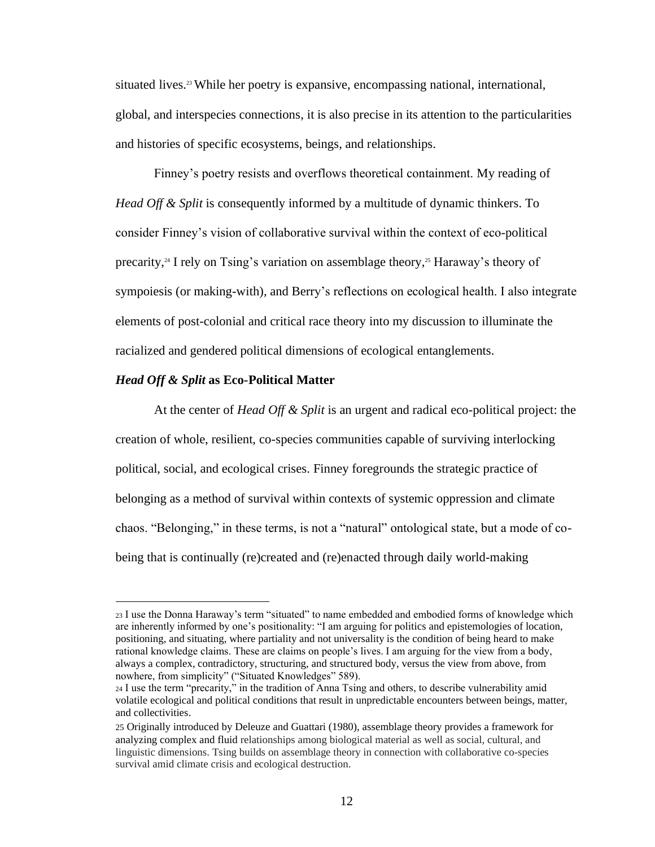situated lives.<sup>23</sup> While her poetry is expansive, encompassing national, international, global, and interspecies connections, it is also precise in its attention to the particularities and histories of specific ecosystems, beings, and relationships.

Finney's poetry resists and overflows theoretical containment. My reading of *Head Off & Split* is consequently informed by a multitude of dynamic thinkers. To consider Finney's vision of collaborative survival within the context of eco-political precarity,<sup>24</sup> I rely on Tsing's variation on assemblage theory,<sup>25</sup> Haraway's theory of sympoiesis (or making-with), and Berry's reflections on ecological health. I also integrate elements of post-colonial and critical race theory into my discussion to illuminate the racialized and gendered political dimensions of ecological entanglements.

#### *Head Off & Split* **as Eco-Political Matter**

At the center of *Head Off & Split* is an urgent and radical eco-political project: the creation of whole, resilient, co-species communities capable of surviving interlocking political, social, and ecological crises. Finney foregrounds the strategic practice of belonging as a method of survival within contexts of systemic oppression and climate chaos. "Belonging," in these terms, is not a "natural" ontological state, but a mode of cobeing that is continually (re)created and (re)enacted through daily world-making

<sup>23</sup> I use the Donna Haraway's term "situated" to name embedded and embodied forms of knowledge which are inherently informed by one's positionality: "I am arguing for politics and epistemologies of location, positioning, and situating, where partiality and not universality is the condition of being heard to make rational knowledge claims. These are claims on people's lives. I am arguing for the view from a body, always a complex, contradictory, structuring, and structured body, versus the view from above, from nowhere, from simplicity" ("Situated Knowledges" 589).

<sup>24</sup> I use the term "precarity," in the tradition of Anna Tsing and others, to describe vulnerability amid volatile ecological and political conditions that result in unpredictable encounters between beings, matter, and collectivities.

<sup>25</sup> Originally introduced by Deleuze and Guattari (1980), assemblage theory provides a framework for analyzing complex and fluid relationships among biological material as well as social, cultural, and linguistic dimensions. Tsing builds on assemblage theory in connection with collaborative co-species survival amid climate crisis and ecological destruction.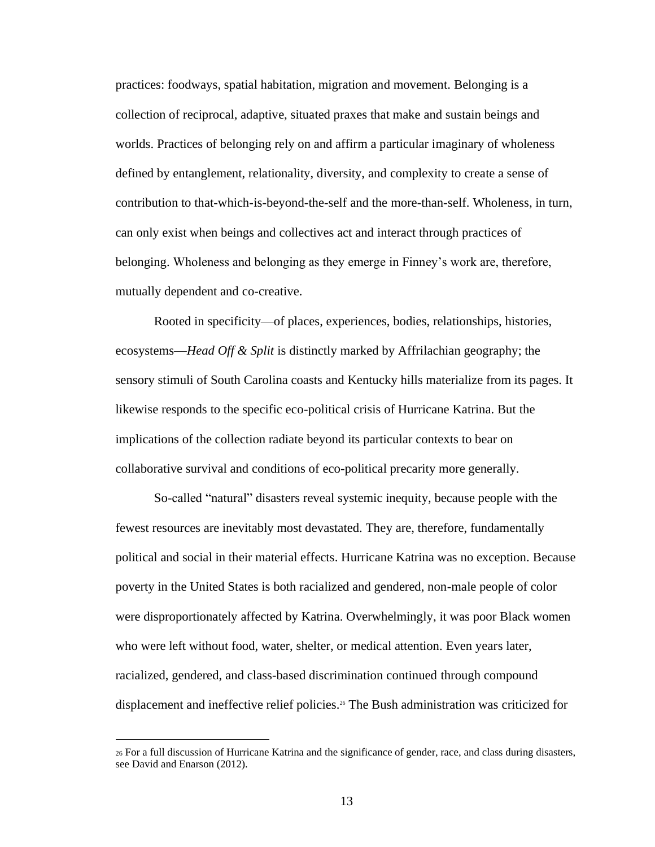practices: foodways, spatial habitation, migration and movement. Belonging is a collection of reciprocal, adaptive, situated praxes that make and sustain beings and worlds. Practices of belonging rely on and affirm a particular imaginary of wholeness defined by entanglement, relationality, diversity, and complexity to create a sense of contribution to that-which-is-beyond-the-self and the more-than-self. Wholeness, in turn, can only exist when beings and collectives act and interact through practices of belonging. Wholeness and belonging as they emerge in Finney's work are, therefore, mutually dependent and co-creative.

Rooted in specificity—of places, experiences, bodies, relationships, histories, ecosystems—*Head Off & Split* is distinctly marked by Affrilachian geography; the sensory stimuli of South Carolina coasts and Kentucky hills materialize from its pages. It likewise responds to the specific eco-political crisis of Hurricane Katrina. But the implications of the collection radiate beyond its particular contexts to bear on collaborative survival and conditions of eco-political precarity more generally.

So-called "natural" disasters reveal systemic inequity, because people with the fewest resources are inevitably most devastated. They are, therefore, fundamentally political and social in their material effects. Hurricane Katrina was no exception. Because poverty in the United States is both racialized and gendered, non-male people of color were disproportionately affected by Katrina. Overwhelmingly, it was poor Black women who were left without food, water, shelter, or medical attention. Even years later, racialized, gendered, and class-based discrimination continued through compound displacement and ineffective relief policies.<sup>26</sup> The Bush administration was criticized for

<sup>26</sup> For a full discussion of Hurricane Katrina and the significance of gender, race, and class during disasters, see David and Enarson (2012).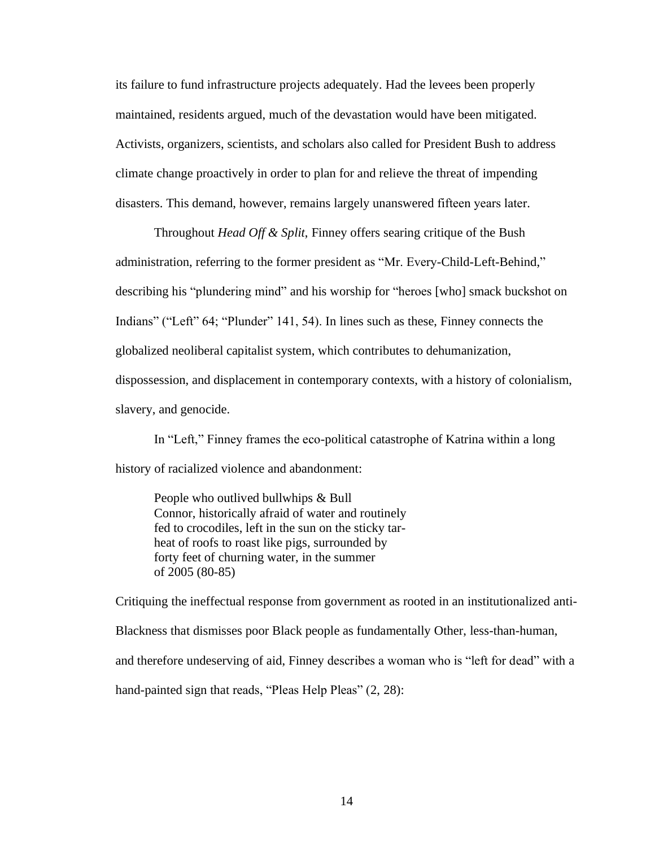its failure to fund infrastructure projects adequately. Had the levees been properly maintained, residents argued, much of the devastation would have been mitigated. Activists, organizers, scientists, and scholars also called for President Bush to address climate change proactively in order to plan for and relieve the threat of impending disasters. This demand, however, remains largely unanswered fifteen years later.

Throughout *Head Off & Split*, Finney offers searing critique of the Bush administration, referring to the former president as "Mr. Every-Child-Left-Behind," describing his "plundering mind" and his worship for "heroes [who] smack buckshot on Indians" ("Left" 64; "Plunder" 141, 54). In lines such as these, Finney connects the globalized neoliberal capitalist system, which contributes to dehumanization, dispossession, and displacement in contemporary contexts, with a history of colonialism, slavery, and genocide.

In "Left," Finney frames the eco-political catastrophe of Katrina within a long history of racialized violence and abandonment:

People who outlived bullwhips & Bull Connor, historically afraid of water and routinely fed to crocodiles, left in the sun on the sticky tarheat of roofs to roast like pigs, surrounded by forty feet of churning water, in the summer of 2005 (80-85)

Critiquing the ineffectual response from government as rooted in an institutionalized anti-Blackness that dismisses poor Black people as fundamentally Other, less-than-human, and therefore undeserving of aid, Finney describes a woman who is "left for dead" with a hand-painted sign that reads, "Pleas Help Pleas" (2, 28):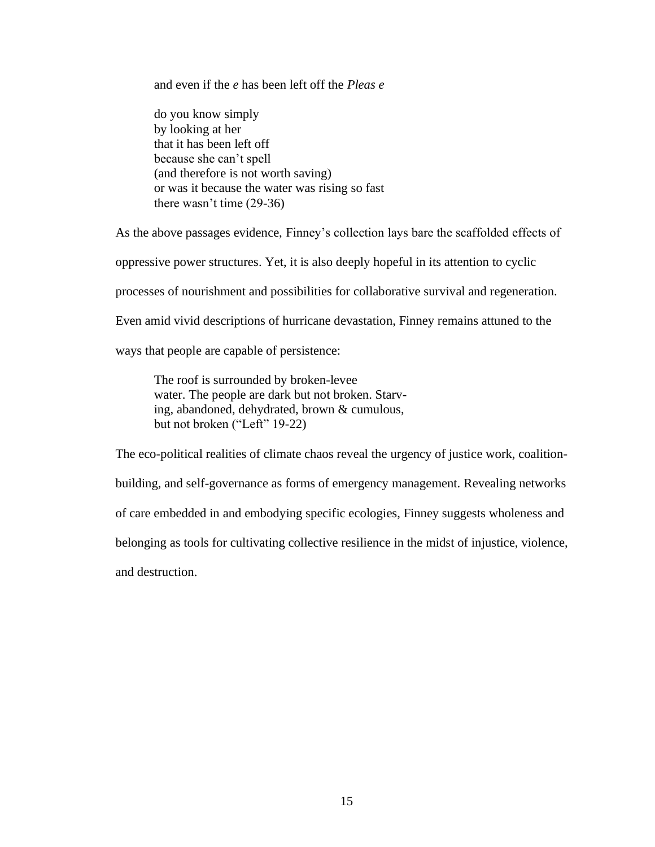and even if the *e* has been left off the *Pleas e* 

do you know simply by looking at her that it has been left off because she can't spell (and therefore is not worth saving) or was it because the water was rising so fast there wasn't time (29-36)

As the above passages evidence, Finney's collection lays bare the scaffolded effects of

oppressive power structures. Yet, it is also deeply hopeful in its attention to cyclic

processes of nourishment and possibilities for collaborative survival and regeneration.

Even amid vivid descriptions of hurricane devastation, Finney remains attuned to the

ways that people are capable of persistence:

The roof is surrounded by broken-levee water. The people are dark but not broken. Starving, abandoned, dehydrated, brown & cumulous, but not broken ("Left" 19-22)

The eco-political realities of climate chaos reveal the urgency of justice work, coalitionbuilding, and self-governance as forms of emergency management. Revealing networks of care embedded in and embodying specific ecologies, Finney suggests wholeness and belonging as tools for cultivating collective resilience in the midst of injustice, violence, and destruction.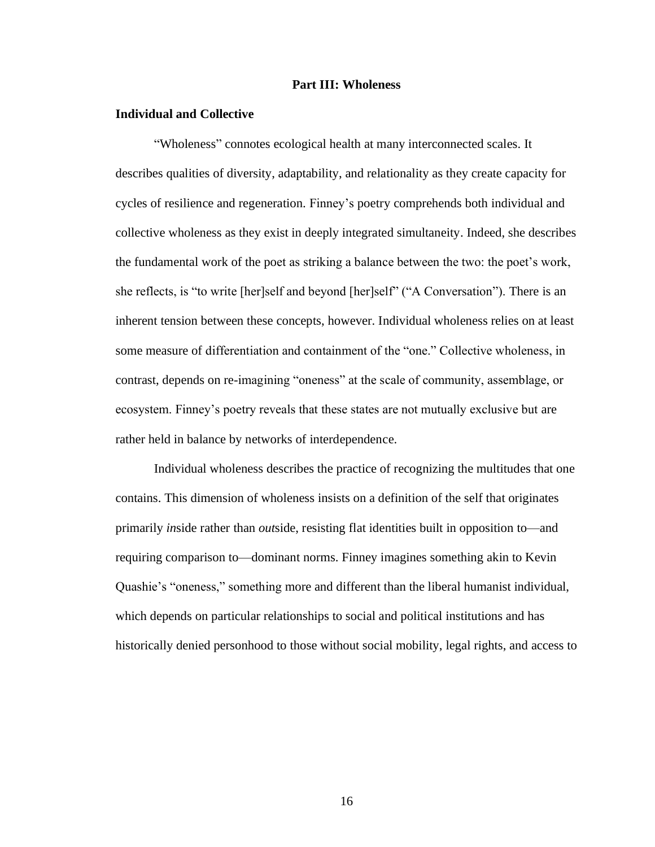#### **Part III: Wholeness**

#### **Individual and Collective**

"Wholeness" connotes ecological health at many interconnected scales. It describes qualities of diversity, adaptability, and relationality as they create capacity for cycles of resilience and regeneration. Finney's poetry comprehends both individual and collective wholeness as they exist in deeply integrated simultaneity. Indeed, she describes the fundamental work of the poet as striking a balance between the two: the poet's work, she reflects, is "to write [her]self and beyond [her]self" ("A Conversation"). There is an inherent tension between these concepts, however. Individual wholeness relies on at least some measure of differentiation and containment of the "one." Collective wholeness, in contrast, depends on re-imagining "oneness" at the scale of community, assemblage, or ecosystem. Finney's poetry reveals that these states are not mutually exclusive but are rather held in balance by networks of interdependence.

Individual wholeness describes the practice of recognizing the multitudes that one contains. This dimension of wholeness insists on a definition of the self that originates primarily *in*side rather than *out*side, resisting flat identities built in opposition to—and requiring comparison to—dominant norms. Finney imagines something akin to Kevin Quashie's "oneness," something more and different than the liberal humanist individual, which depends on particular relationships to social and political institutions and has historically denied personhood to those without social mobility, legal rights, and access to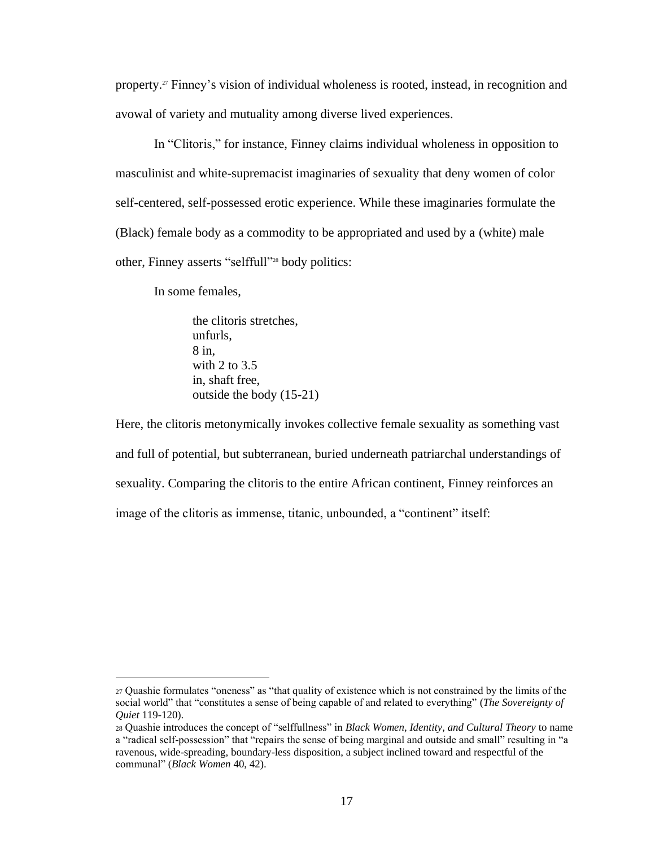property.<sup>27</sup> Finney's vision of individual wholeness is rooted, instead, in recognition and avowal of variety and mutuality among diverse lived experiences.

In "Clitoris," for instance, Finney claims individual wholeness in opposition to masculinist and white-supremacist imaginaries of sexuality that deny women of color self-centered, self-possessed erotic experience. While these imaginaries formulate the (Black) female body as a commodity to be appropriated and used by a (white) male other, Finney asserts "selffull"<sup>28</sup> body politics:

In some females,

the clitoris stretches, unfurls, 8 in, with 2 to 3.5 in, shaft free, outside the body (15-21)

Here, the clitoris metonymically invokes collective female sexuality as something vast and full of potential, but subterranean, buried underneath patriarchal understandings of sexuality. Comparing the clitoris to the entire African continent, Finney reinforces an image of the clitoris as immense, titanic, unbounded, a "continent" itself:

<sup>27</sup> Quashie formulates "oneness" as "that quality of existence which is not constrained by the limits of the social world" that "constitutes a sense of being capable of and related to everything" (*The Sovereignty of Quiet* 119-120).

<sup>28</sup> Quashie introduces the concept of "selffullness" in *Black Women, Identity, and Cultural Theory* to name a "radical self-possession" that "repairs the sense of being marginal and outside and small" resulting in "a ravenous, wide-spreading, boundary-less disposition, a subject inclined toward and respectful of the communal" (*Black Women* 40, 42).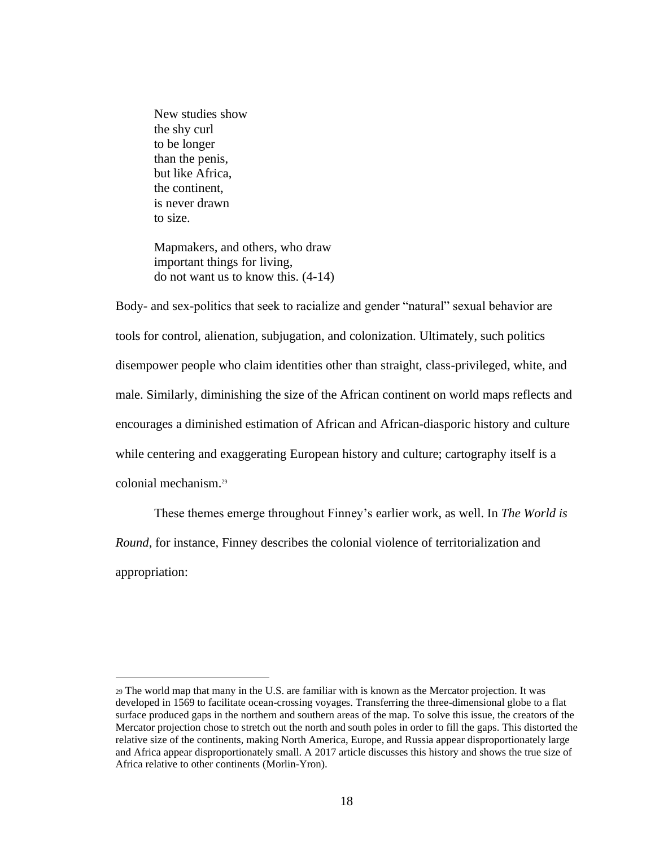New studies show the shy curl to be longer than the penis, but like Africa, the continent, is never drawn to size.

Mapmakers, and others, who draw important things for living, do not want us to know this. (4-14)

Body- and sex-politics that seek to racialize and gender "natural" sexual behavior are tools for control, alienation, subjugation, and colonization. Ultimately, such politics disempower people who claim identities other than straight, class-privileged, white, and male. Similarly, diminishing the size of the African continent on world maps reflects and encourages a diminished estimation of African and African-diasporic history and culture while centering and exaggerating European history and culture; cartography itself is a colonial mechanism.<sup>29</sup>

These themes emerge throughout Finney's earlier work, as well. In *The World is Round*, for instance, Finney describes the colonial violence of territorialization and appropriation:

<sup>29</sup> The world map that many in the U.S. are familiar with is known as the Mercator projection. It was developed in 1569 to facilitate ocean-crossing voyages. Transferring the three-dimensional globe to a flat surface produced gaps in the northern and southern areas of the map. To solve this issue, the creators of the Mercator projection chose to stretch out the north and south poles in order to fill the gaps. This distorted the relative size of the continents, making North America, Europe, and Russia appear disproportionately large and Africa appear disproportionately small. A 2017 article discusses this history and shows the true size of Africa relative to other continents (Morlin-Yron).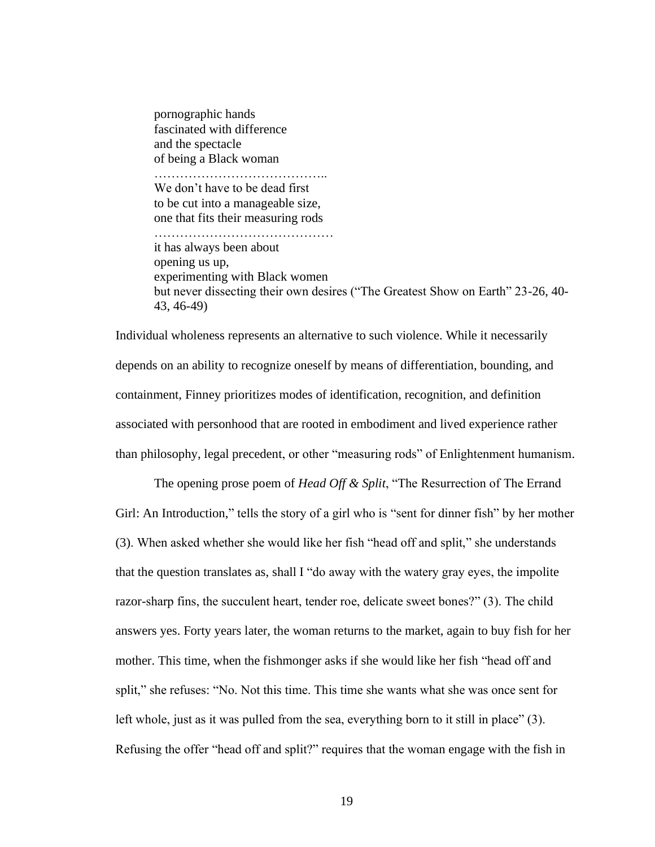pornographic hands fascinated with difference and the spectacle of being a Black woman ………………………………….. We don't have to be dead first to be cut into a manageable size, one that fits their measuring rods …………………………………… it has always been about opening us up, experimenting with Black women but never dissecting their own desires ("The Greatest Show on Earth" 23-26, 40- 43, 46-49)

Individual wholeness represents an alternative to such violence. While it necessarily depends on an ability to recognize oneself by means of differentiation, bounding, and containment, Finney prioritizes modes of identification, recognition, and definition associated with personhood that are rooted in embodiment and lived experience rather than philosophy, legal precedent, or other "measuring rods" of Enlightenment humanism.

The opening prose poem of *Head Off & Split*, "The Resurrection of The Errand Girl: An Introduction," tells the story of a girl who is "sent for dinner fish" by her mother (3). When asked whether she would like her fish "head off and split," she understands that the question translates as, shall I "do away with the watery gray eyes, the impolite razor-sharp fins, the succulent heart, tender roe, delicate sweet bones?" (3). The child answers yes. Forty years later, the woman returns to the market, again to buy fish for her mother. This time, when the fishmonger asks if she would like her fish "head off and split," she refuses: "No. Not this time. This time she wants what she was once sent for left whole, just as it was pulled from the sea, everything born to it still in place" (3). Refusing the offer "head off and split?" requires that the woman engage with the fish in

19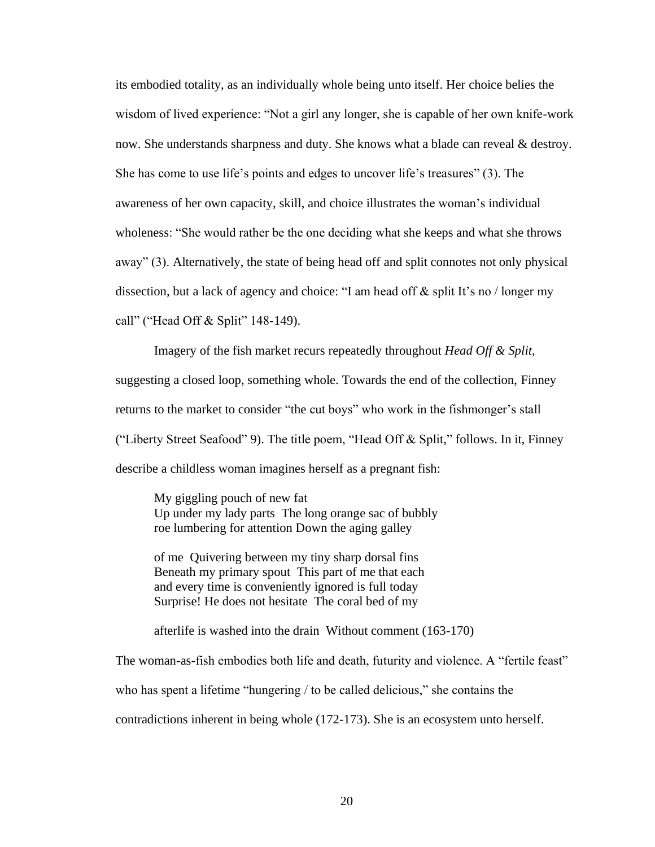its embodied totality, as an individually whole being unto itself. Her choice belies the wisdom of lived experience: "Not a girl any longer, she is capable of her own knife-work now. She understands sharpness and duty. She knows what a blade can reveal & destroy. She has come to use life's points and edges to uncover life's treasures" (3). The awareness of her own capacity, skill, and choice illustrates the woman's individual wholeness: "She would rather be the one deciding what she keeps and what she throws away" (3). Alternatively, the state of being head off and split connotes not only physical dissection, but a lack of agency and choice: "I am head off & split It's no / longer my call" ("Head Off & Split" 148-149).

Imagery of the fish market recurs repeatedly throughout *Head Off & Split*, suggesting a closed loop, something whole. Towards the end of the collection, Finney returns to the market to consider "the cut boys" who work in the fishmonger's stall ("Liberty Street Seafood" 9). The title poem, "Head Off & Split," follows. In it, Finney describe a childless woman imagines herself as a pregnant fish:

My giggling pouch of new fat Up under my lady parts The long orange sac of bubbly roe lumbering for attention Down the aging galley

of me Quivering between my tiny sharp dorsal fins Beneath my primary spout This part of me that each and every time is conveniently ignored is full today Surprise! He does not hesitate The coral bed of my

afterlife is washed into the drain Without comment (163-170)

The woman-as-fish embodies both life and death, futurity and violence. A "fertile feast"

who has spent a lifetime "hungering / to be called delicious," she contains the

contradictions inherent in being whole (172-173). She is an ecosystem unto herself.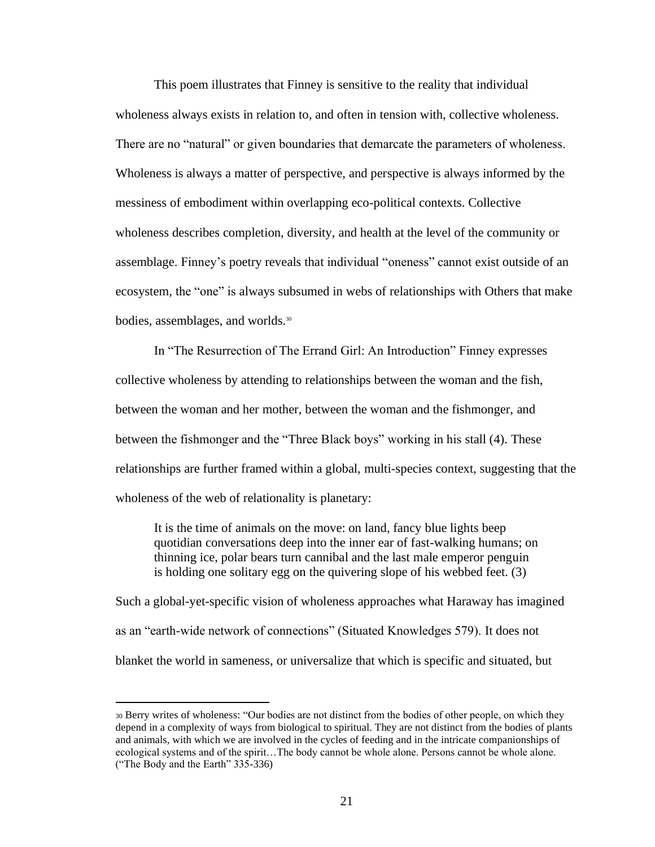This poem illustrates that Finney is sensitive to the reality that individual wholeness always exists in relation to, and often in tension with, collective wholeness. There are no "natural" or given boundaries that demarcate the parameters of wholeness. Wholeness is always a matter of perspective, and perspective is always informed by the messiness of embodiment within overlapping eco-political contexts. Collective wholeness describes completion, diversity, and health at the level of the community or assemblage. Finney's poetry reveals that individual "oneness" cannot exist outside of an ecosystem, the "one" is always subsumed in webs of relationships with Others that make bodies, assemblages, and worlds.<sup>30</sup>

In "The Resurrection of The Errand Girl: An Introduction" Finney expresses collective wholeness by attending to relationships between the woman and the fish, between the woman and her mother, between the woman and the fishmonger, and between the fishmonger and the "Three Black boys" working in his stall (4). These relationships are further framed within a global, multi-species context, suggesting that the wholeness of the web of relationality is planetary:

It is the time of animals on the move: on land, fancy blue lights beep quotidian conversations deep into the inner ear of fast-walking humans; on thinning ice, polar bears turn cannibal and the last male emperor penguin is holding one solitary egg on the quivering slope of his webbed feet. (3)

Such a global-yet-specific vision of wholeness approaches what Haraway has imagined as an "earth-wide network of connections" (Situated Knowledges 579). It does not blanket the world in sameness, or universalize that which is specific and situated, but

<sup>30</sup> Berry writes of wholeness: "Our bodies are not distinct from the bodies of other people, on which they depend in a complexity of ways from biological to spiritual. They are not distinct from the bodies of plants and animals, with which we are involved in the cycles of feeding and in the intricate companionships of ecological systems and of the spirit…The body cannot be whole alone. Persons cannot be whole alone. ("The Body and the Earth" 335-336)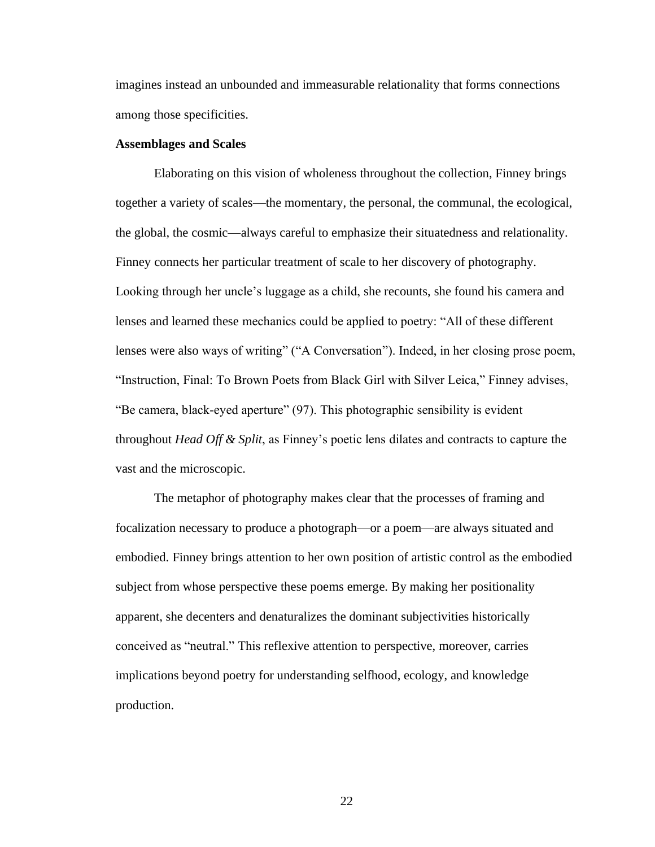imagines instead an unbounded and immeasurable relationality that forms connections among those specificities.

#### **Assemblages and Scales**

Elaborating on this vision of wholeness throughout the collection, Finney brings together a variety of scales—the momentary, the personal, the communal, the ecological, the global, the cosmic—always careful to emphasize their situatedness and relationality. Finney connects her particular treatment of scale to her discovery of photography. Looking through her uncle's luggage as a child, she recounts, she found his camera and lenses and learned these mechanics could be applied to poetry: "All of these different lenses were also ways of writing" ("A Conversation"). Indeed, in her closing prose poem, "Instruction, Final: To Brown Poets from Black Girl with Silver Leica," Finney advises, "Be camera, black-eyed aperture" (97). This photographic sensibility is evident throughout *Head Off & Split*, as Finney's poetic lens dilates and contracts to capture the vast and the microscopic.

The metaphor of photography makes clear that the processes of framing and focalization necessary to produce a photograph—or a poem—are always situated and embodied. Finney brings attention to her own position of artistic control as the embodied subject from whose perspective these poems emerge. By making her positionality apparent, she decenters and denaturalizes the dominant subjectivities historically conceived as "neutral." This reflexive attention to perspective, moreover, carries implications beyond poetry for understanding selfhood, ecology, and knowledge production.

22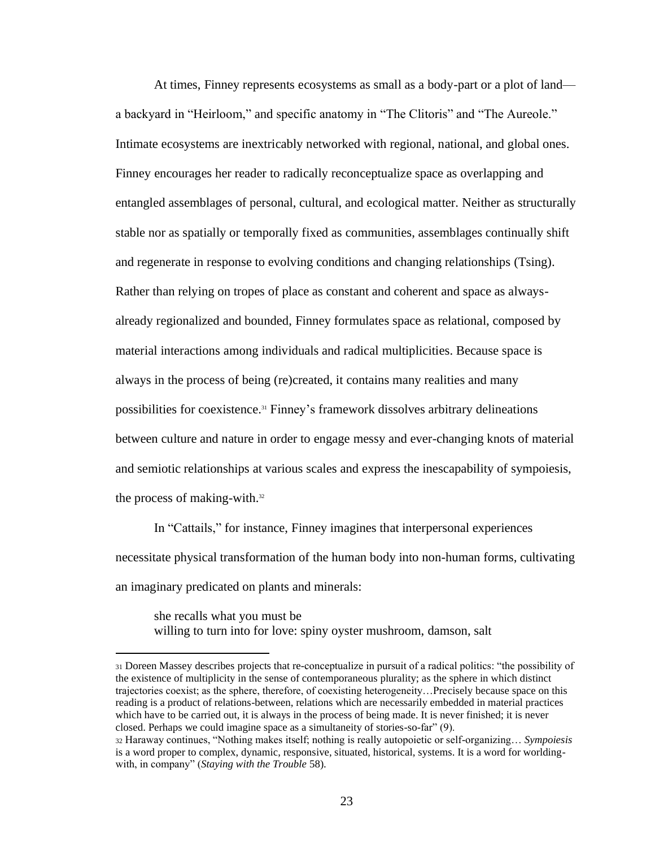At times, Finney represents ecosystems as small as a body-part or a plot of land a backyard in "Heirloom," and specific anatomy in "The Clitoris" and "The Aureole." Intimate ecosystems are inextricably networked with regional, national, and global ones. Finney encourages her reader to radically reconceptualize space as overlapping and entangled assemblages of personal, cultural, and ecological matter. Neither as structurally stable nor as spatially or temporally fixed as communities, assemblages continually shift and regenerate in response to evolving conditions and changing relationships (Tsing). Rather than relying on tropes of place as constant and coherent and space as alwaysalready regionalized and bounded, Finney formulates space as relational, composed by material interactions among individuals and radical multiplicities. Because space is always in the process of being (re)created, it contains many realities and many possibilities for coexistence.<sup>31</sup> Finney's framework dissolves arbitrary delineations between culture and nature in order to engage messy and ever-changing knots of material and semiotic relationships at various scales and express the inescapability of sympoiesis, the process of making-with.<sup>32</sup>

In "Cattails," for instance, Finney imagines that interpersonal experiences necessitate physical transformation of the human body into non-human forms, cultivating an imaginary predicated on plants and minerals:

she recalls what you must be willing to turn into for love: spiny oyster mushroom, damson, salt

<sup>31</sup> Doreen Massey describes projects that re-conceptualize in pursuit of a radical politics: "the possibility of the existence of multiplicity in the sense of contemporaneous plurality; as the sphere in which distinct trajectories coexist; as the sphere, therefore, of coexisting heterogeneity…Precisely because space on this reading is a product of relations-between, relations which are necessarily embedded in material practices which have to be carried out, it is always in the process of being made. It is never finished; it is never closed. Perhaps we could imagine space as a simultaneity of stories-so-far" (9).

<sup>32</sup> Haraway continues, "Nothing makes itself; nothing is really autopoietic or self-organizing… *Sympoiesis* is a word proper to complex, dynamic, responsive, situated, historical, systems. It is a word for worldingwith, in company" (*Staying with the Trouble* 58).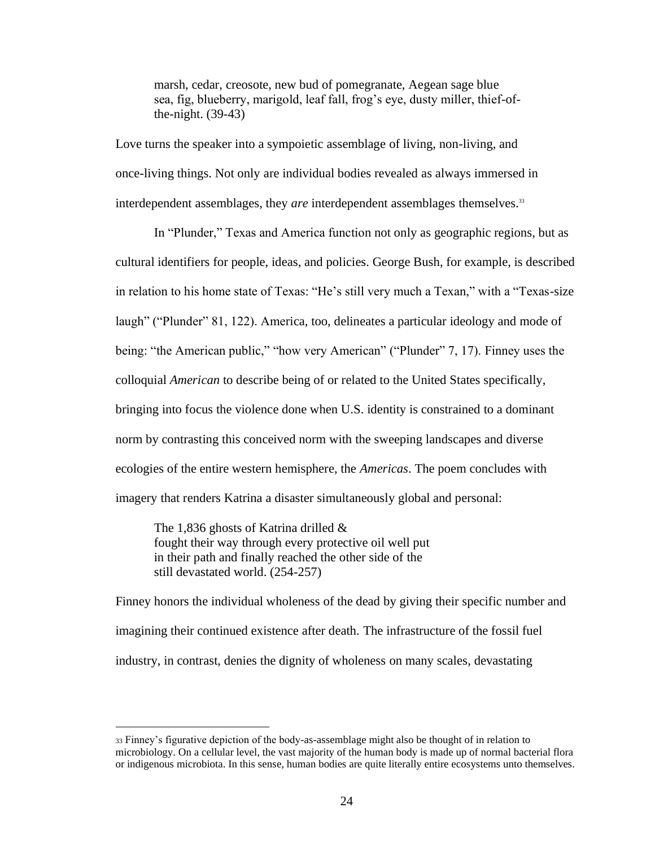marsh, cedar, creosote, new bud of pomegranate, Aegean sage blue sea, fig, blueberry, marigold, leaf fall, frog's eye, dusty miller, thief-ofthe-night. (39-43)

Love turns the speaker into a sympoietic assemblage of living, non-living, and once-living things. Not only are individual bodies revealed as always immersed in interdependent assemblages, they *are* interdependent assemblages themselves.<sup>33</sup>

In "Plunder," Texas and America function not only as geographic regions, but as cultural identifiers for people, ideas, and policies. George Bush, for example, is described in relation to his home state of Texas: "He's still very much a Texan," with a "Texas-size laugh" ("Plunder" 81, 122). America*,* too, delineates a particular ideology and mode of being: "the American public," "how very American" ("Plunder" 7, 17). Finney uses the colloquial *American* to describe being of or related to the United States specifically, bringing into focus the violence done when U.S. identity is constrained to a dominant norm by contrasting this conceived norm with the sweeping landscapes and diverse ecologies of the entire western hemisphere, the *Americas*. The poem concludes with imagery that renders Katrina a disaster simultaneously global and personal:

The 1,836 ghosts of Katrina drilled & fought their way through every protective oil well put in their path and finally reached the other side of the still devastated world. (254-257)

Finney honors the individual wholeness of the dead by giving their specific number and imagining their continued existence after death. The infrastructure of the fossil fuel industry, in contrast, denies the dignity of wholeness on many scales, devastating

<sup>33</sup> Finney's figurative depiction of the body-as-assemblage might also be thought of in relation to microbiology. On a cellular level, the vast majority of the human body is made up of normal bacterial flora or indigenous microbiota. In this sense, human bodies are quite literally entire ecosystems unto themselves.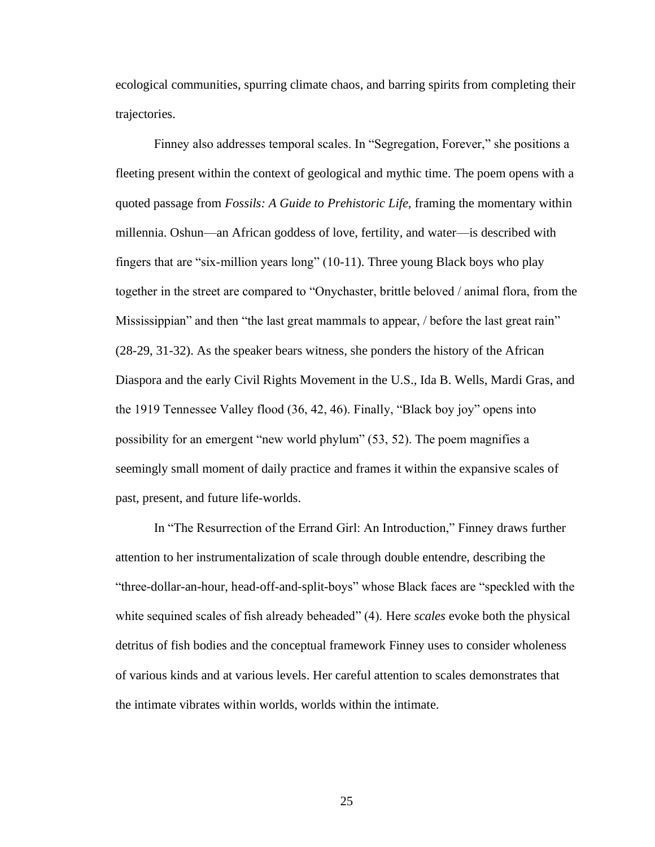ecological communities, spurring climate chaos, and barring spirits from completing their trajectories.

Finney also addresses temporal scales. In "Segregation, Forever," she positions a fleeting present within the context of geological and mythic time. The poem opens with a quoted passage from *Fossils: A Guide to Prehistoric Life,* framing the momentary within millennia. Oshun—an African goddess of love, fertility, and water—is described with fingers that are "six-million years long" (10-11). Three young Black boys who play together in the street are compared to "Onychaster, brittle beloved / animal flora, from the Mississippian" and then "the last great mammals to appear, / before the last great rain" (28-29, 31-32). As the speaker bears witness, she ponders the history of the African Diaspora and the early Civil Rights Movement in the U.S., Ida B. Wells, Mardi Gras, and the 1919 Tennessee Valley flood (36, 42, 46). Finally, "Black boy joy" opens into possibility for an emergent "new world phylum" (53, 52). The poem magnifies a seemingly small moment of daily practice and frames it within the expansive scales of past, present, and future life-worlds.

In "The Resurrection of the Errand Girl: An Introduction," Finney draws further attention to her instrumentalization of scale through double entendre, describing the "three-dollar-an-hour, head-off-and-split-boys" whose Black faces are "speckled with the white sequined scales of fish already beheaded" (4). Here *scales* evoke both the physical detritus of fish bodies and the conceptual framework Finney uses to consider wholeness of various kinds and at various levels. Her careful attention to scales demonstrates that the intimate vibrates within worlds, worlds within the intimate.

25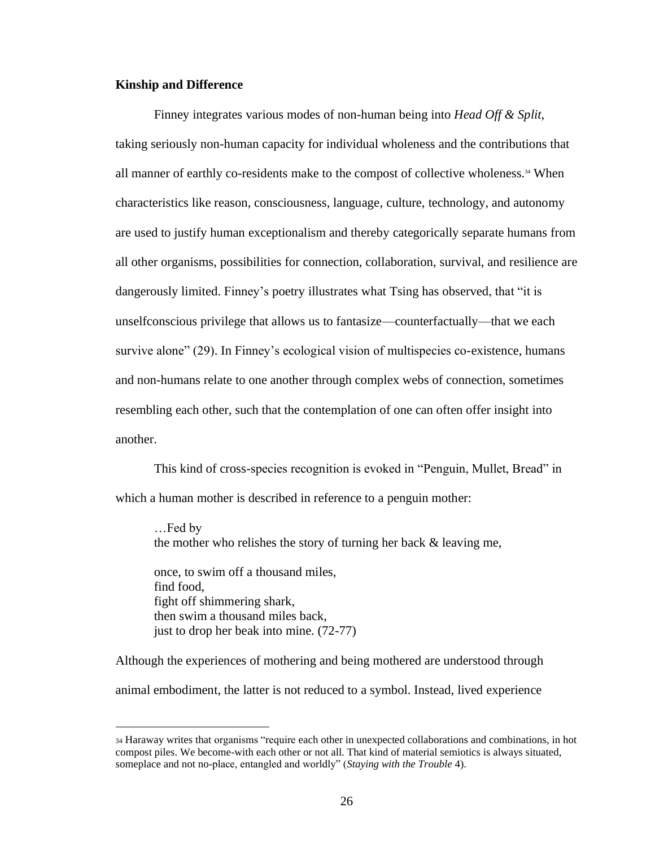#### **Kinship and Difference**

Finney integrates various modes of non-human being into *Head Off & Split*, taking seriously non-human capacity for individual wholeness and the contributions that all manner of earthly co-residents make to the compost of collective wholeness.<sup>34</sup> When characteristics like reason, consciousness, language, culture, technology, and autonomy are used to justify human exceptionalism and thereby categorically separate humans from all other organisms, possibilities for connection, collaboration, survival, and resilience are dangerously limited. Finney's poetry illustrates what Tsing has observed, that "it is unselfconscious privilege that allows us to fantasize—counterfactually—that we each survive alone" (29). In Finney's ecological vision of multispecies co-existence, humans and non-humans relate to one another through complex webs of connection, sometimes resembling each other, such that the contemplation of one can often offer insight into another.

This kind of cross-species recognition is evoked in "Penguin, Mullet, Bread" in which a human mother is described in reference to a penguin mother:

…Fed by the mother who relishes the story of turning her back & leaving me,

once, to swim off a thousand miles, find food, fight off shimmering shark, then swim a thousand miles back, just to drop her beak into mine. (72-77)

Although the experiences of mothering and being mothered are understood through animal embodiment, the latter is not reduced to a symbol. Instead, lived experience

<sup>34</sup> Haraway writes that organisms "require each other in unexpected collaborations and combinations, in hot compost piles. We become-with each other or not all. That kind of material semiotics is always situated, someplace and not no-place, entangled and worldly" (*Staying with the Trouble* 4).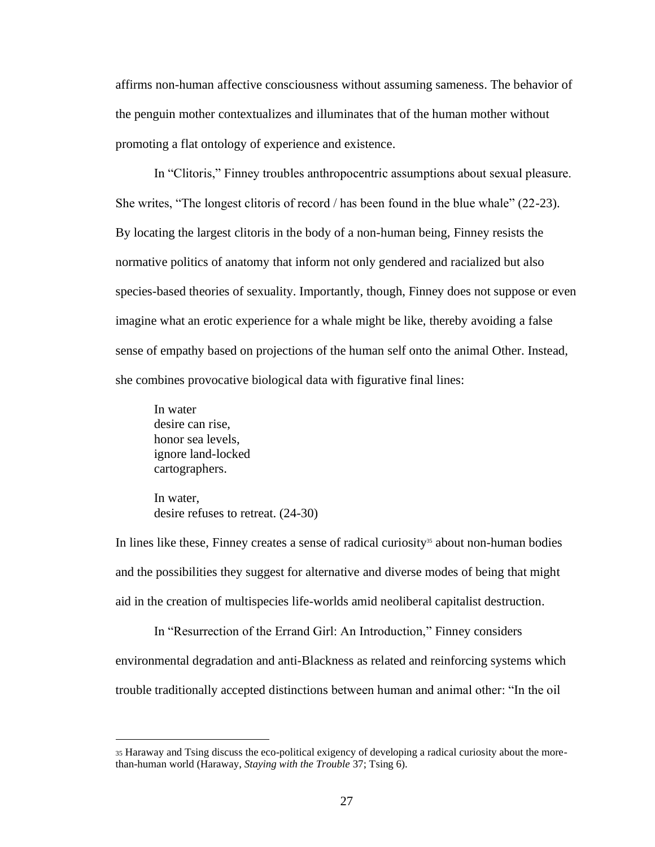affirms non-human affective consciousness without assuming sameness. The behavior of the penguin mother contextualizes and illuminates that of the human mother without promoting a flat ontology of experience and existence.

In "Clitoris," Finney troubles anthropocentric assumptions about sexual pleasure. She writes, "The longest clitoris of record / has been found in the blue whale" (22-23). By locating the largest clitoris in the body of a non-human being, Finney resists the normative politics of anatomy that inform not only gendered and racialized but also species-based theories of sexuality. Importantly, though, Finney does not suppose or even imagine what an erotic experience for a whale might be like, thereby avoiding a false sense of empathy based on projections of the human self onto the animal Other. Instead, she combines provocative biological data with figurative final lines:

In water desire can rise, honor sea levels, ignore land-locked cartographers.

In water, desire refuses to retreat. (24-30)

In lines like these, Finney creates a sense of radical curiosity<sup>35</sup> about non-human bodies and the possibilities they suggest for alternative and diverse modes of being that might aid in the creation of multispecies life-worlds amid neoliberal capitalist destruction.

In "Resurrection of the Errand Girl: An Introduction," Finney considers environmental degradation and anti-Blackness as related and reinforcing systems which trouble traditionally accepted distinctions between human and animal other: "In the oil

<sup>35</sup> Haraway and Tsing discuss the eco-political exigency of developing a radical curiosity about the morethan-human world (Haraway, *Staying with the Trouble* 37; Tsing 6).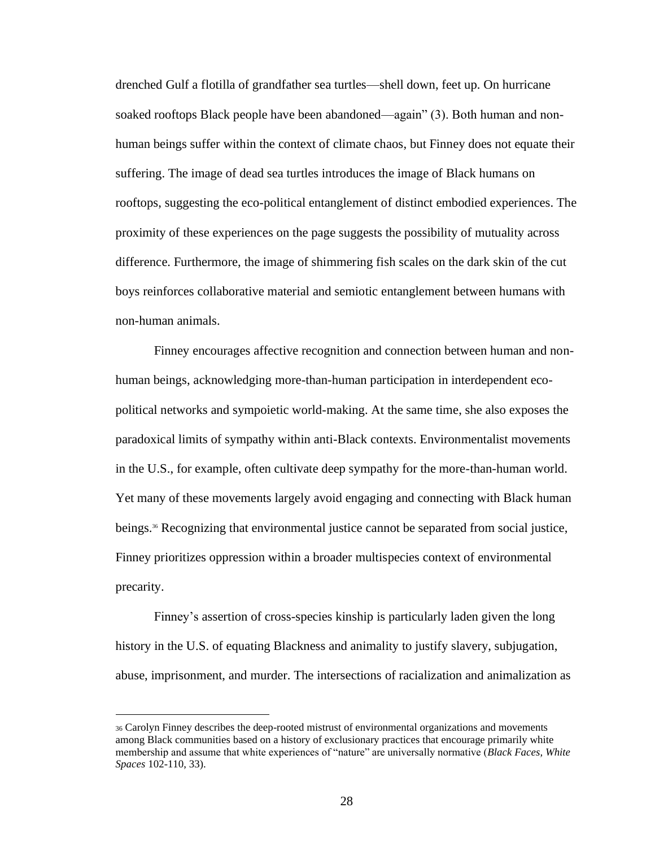drenched Gulf a flotilla of grandfather sea turtles—shell down, feet up. On hurricane soaked rooftops Black people have been abandoned—again" (3). Both human and nonhuman beings suffer within the context of climate chaos, but Finney does not equate their suffering. The image of dead sea turtles introduces the image of Black humans on rooftops, suggesting the eco-political entanglement of distinct embodied experiences. The proximity of these experiences on the page suggests the possibility of mutuality across difference. Furthermore, the image of shimmering fish scales on the dark skin of the cut boys reinforces collaborative material and semiotic entanglement between humans with non-human animals.

Finney encourages affective recognition and connection between human and nonhuman beings, acknowledging more-than-human participation in interdependent ecopolitical networks and sympoietic world-making. At the same time, she also exposes the paradoxical limits of sympathy within anti-Black contexts. Environmentalist movements in the U.S., for example, often cultivate deep sympathy for the more-than-human world. Yet many of these movements largely avoid engaging and connecting with Black human beings.<sup>36</sup> Recognizing that environmental justice cannot be separated from social justice, Finney prioritizes oppression within a broader multispecies context of environmental precarity.

Finney's assertion of cross-species kinship is particularly laden given the long history in the U.S. of equating Blackness and animality to justify slavery, subjugation, abuse, imprisonment, and murder. The intersections of racialization and animalization as

<sup>36</sup> Carolyn Finney describes the deep-rooted mistrust of environmental organizations and movements among Black communities based on a history of exclusionary practices that encourage primarily white membership and assume that white experiences of "nature" are universally normative (*Black Faces, White Spaces* 102-110, 33).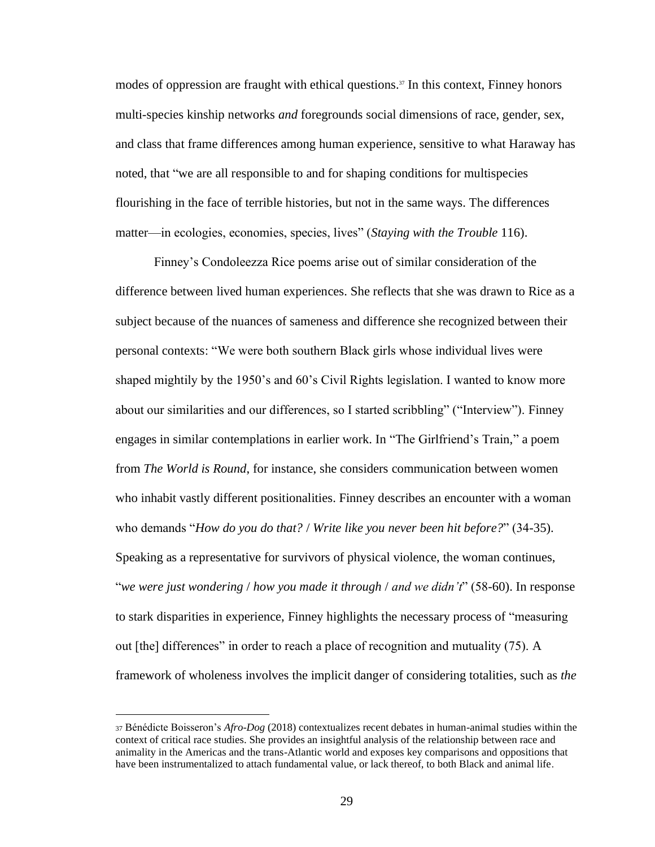modes of oppression are fraught with ethical questions.<sup>37</sup> In this context, Finney honors multi-species kinship networks *and* foregrounds social dimensions of race, gender, sex, and class that frame differences among human experience, sensitive to what Haraway has noted, that "we are all responsible to and for shaping conditions for multispecies flourishing in the face of terrible histories, but not in the same ways. The differences matter—in ecologies, economies, species, lives" (*Staying with the Trouble* 116).

Finney's Condoleezza Rice poems arise out of similar consideration of the difference between lived human experiences. She reflects that she was drawn to Rice as a subject because of the nuances of sameness and difference she recognized between their personal contexts: "We were both southern Black girls whose individual lives were shaped mightily by the 1950's and 60's Civil Rights legislation. I wanted to know more about our similarities and our differences, so I started scribbling" ("Interview"). Finney engages in similar contemplations in earlier work. In "The Girlfriend's Train," a poem from *The World is Round*, for instance, she considers communication between women who inhabit vastly different positionalities. Finney describes an encounter with a woman who demands "*How do you do that?* / *Write like you never been hit before?*" (34-35). Speaking as a representative for survivors of physical violence, the woman continues, "*we were just wondering* / *how you made it through* / *and we didn't*" (58-60). In response to stark disparities in experience, Finney highlights the necessary process of "measuring out [the] differences" in order to reach a place of recognition and mutuality (75). A framework of wholeness involves the implicit danger of considering totalities, such as *the*

<sup>37</sup> Bénédicte Boisseron's *Afro-Dog* (2018) contextualizes recent debates in human-animal studies within the context of critical race studies. She provides an insightful analysis of the relationship between race and animality in the Americas and the trans-Atlantic world and exposes key comparisons and oppositions that have been instrumentalized to attach fundamental value, or lack thereof, to both Black and animal life.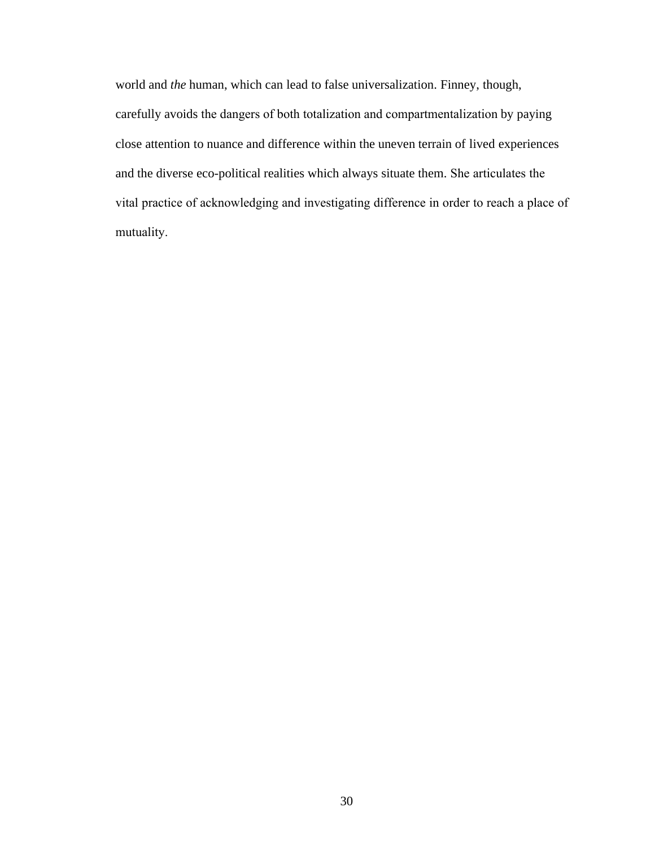world and *the* human, which can lead to false universalization. Finney, though, carefully avoids the dangers of both totalization and compartmentalization by paying close attention to nuance and difference within the uneven terrain of lived experiences and the diverse eco-political realities which always situate them. She articulates the vital practice of acknowledging and investigating difference in order to reach a place of mutuality.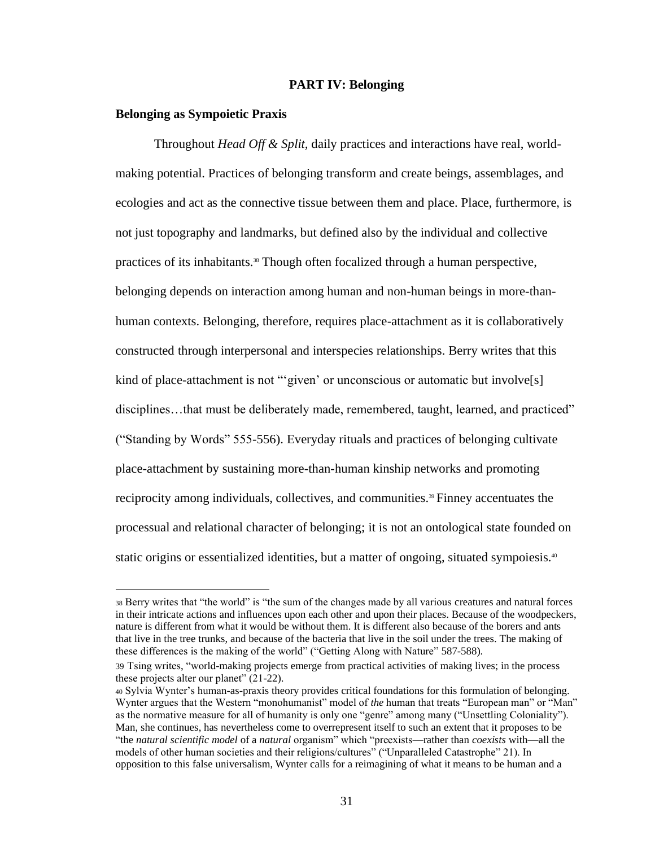#### **PART IV: Belonging**

#### **Belonging as Sympoietic Praxis**

Throughout *Head Off & Split,* daily practices and interactions have real, worldmaking potential. Practices of belonging transform and create beings, assemblages, and ecologies and act as the connective tissue between them and place. Place, furthermore, is not just topography and landmarks, but defined also by the individual and collective practices of its inhabitants.38 Though often focalized through a human perspective, belonging depends on interaction among human and non-human beings in more-thanhuman contexts. Belonging, therefore, requires place-attachment as it is collaboratively constructed through interpersonal and interspecies relationships. Berry writes that this kind of place-attachment is not "'given' or unconscious or automatic but involve<sup>[s]</sup> disciplines…that must be deliberately made, remembered, taught, learned, and practiced" ("Standing by Words" 555-556). Everyday rituals and practices of belonging cultivate place-attachment by sustaining more-than-human kinship networks and promoting reciprocity among individuals, collectives, and communities.<sup>39</sup> Finney accentuates the processual and relational character of belonging; it is not an ontological state founded on static origins or essentialized identities, but a matter of ongoing, situated sympoiesis.<sup>40</sup>

<sup>38</sup> Berry writes that "the world" is "the sum of the changes made by all various creatures and natural forces in their intricate actions and influences upon each other and upon their places. Because of the woodpeckers, nature is different from what it would be without them. It is different also because of the borers and ants that live in the tree trunks, and because of the bacteria that live in the soil under the trees. The making of these differences is the making of the world" ("Getting Along with Nature" 587-588).

<sup>39</sup> Tsing writes, "world-making projects emerge from practical activities of making lives; in the process these projects alter our planet" (21-22).

<sup>40</sup> Sylvia Wynter's human-as-praxis theory provides critical foundations for this formulation of belonging. Wynter argues that the Western "monohumanist" model of *the* human that treats "European man" or "Man" as the normative measure for all of humanity is only one "genre" among many ("Unsettling Coloniality"). Man, she continues, has nevertheless come to overrepresent itself to such an extent that it proposes to be "the *natural scientific model* of a *natural* organism" which "preexists—rather than *coexists* with—all the models of other human societies and their religions/cultures" ("Unparalleled Catastrophe" 21). In opposition to this false universalism, Wynter calls for a reimagining of what it means to be human and a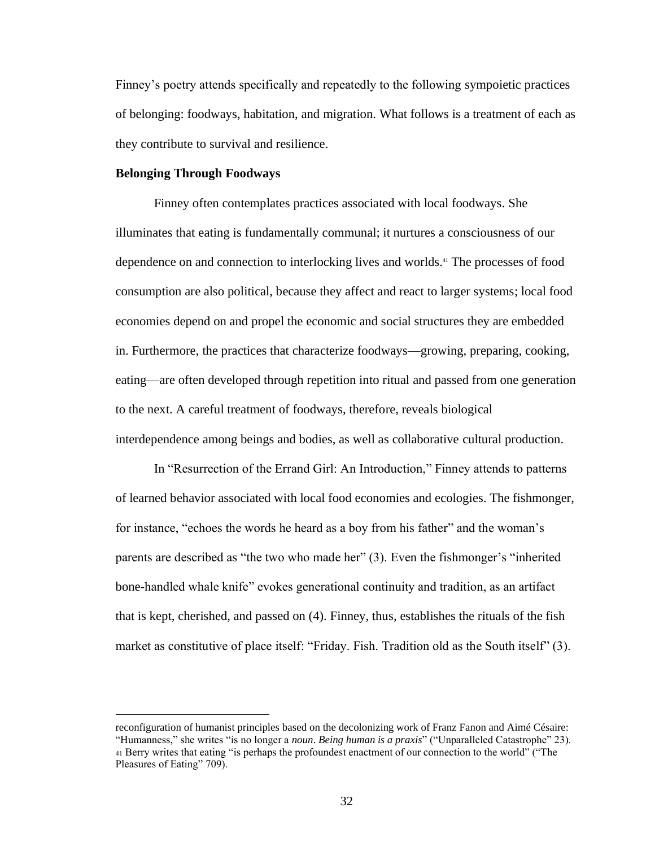Finney's poetry attends specifically and repeatedly to the following sympoietic practices of belonging: foodways, habitation, and migration. What follows is a treatment of each as they contribute to survival and resilience.

#### **Belonging Through Foodways**

Finney often contemplates practices associated with local foodways. She illuminates that eating is fundamentally communal; it nurtures a consciousness of our dependence on and connection to interlocking lives and worlds.<sup>41</sup> The processes of food consumption are also political, because they affect and react to larger systems; local food economies depend on and propel the economic and social structures they are embedded in. Furthermore, the practices that characterize foodways—growing, preparing, cooking, eating—are often developed through repetition into ritual and passed from one generation to the next. A careful treatment of foodways, therefore, reveals biological interdependence among beings and bodies, as well as collaborative cultural production.

In "Resurrection of the Errand Girl: An Introduction," Finney attends to patterns of learned behavior associated with local food economies and ecologies. The fishmonger, for instance, "echoes the words he heard as a boy from his father" and the woman's parents are described as "the two who made her" (3). Even the fishmonger's "inherited bone-handled whale knife" evokes generational continuity and tradition, as an artifact that is kept, cherished, and passed on (4). Finney, thus, establishes the rituals of the fish market as constitutive of place itself: "Friday. Fish. Tradition old as the South itself" (3).

reconfiguration of humanist principles based on the decolonizing work of Franz Fanon and Aimé Césaire: "Humanness," she writes "is no longer a *noun*. *Being human is a praxis*" ("Unparalleled Catastrophe" 23). <sup>41</sup> Berry writes that eating "is perhaps the profoundest enactment of our connection to the world" ("The Pleasures of Eating" 709).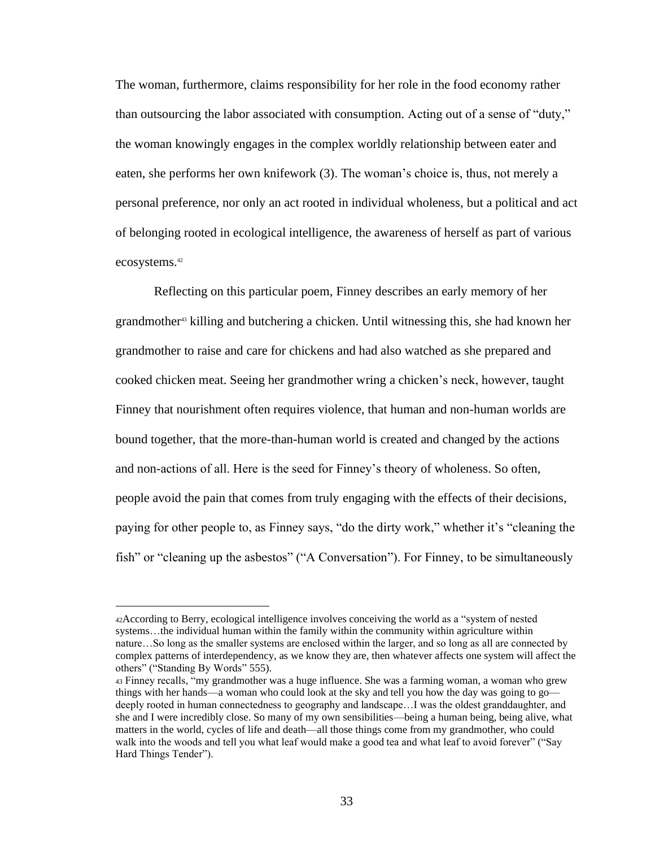The woman, furthermore, claims responsibility for her role in the food economy rather than outsourcing the labor associated with consumption. Acting out of a sense of "duty," the woman knowingly engages in the complex worldly relationship between eater and eaten, she performs her own knifework (3). The woman's choice is, thus, not merely a personal preference, nor only an act rooted in individual wholeness, but a political and act of belonging rooted in ecological intelligence, the awareness of herself as part of various ecosystems.<sup>42</sup>

Reflecting on this particular poem, Finney describes an early memory of her grandmother<sup>43</sup> killing and butchering a chicken. Until witnessing this, she had known her grandmother to raise and care for chickens and had also watched as she prepared and cooked chicken meat. Seeing her grandmother wring a chicken's neck, however, taught Finney that nourishment often requires violence, that human and non-human worlds are bound together, that the more-than-human world is created and changed by the actions and non-actions of all. Here is the seed for Finney's theory of wholeness. So often, people avoid the pain that comes from truly engaging with the effects of their decisions, paying for other people to, as Finney says, "do the dirty work," whether it's "cleaning the fish" or "cleaning up the asbestos" ("A Conversation"). For Finney, to be simultaneously

<sup>42</sup>According to Berry, ecological intelligence involves conceiving the world as a "system of nested systems…the individual human within the family within the community within agriculture within nature…So long as the smaller systems are enclosed within the larger, and so long as all are connected by complex patterns of interdependency, as we know they are, then whatever affects one system will affect the others" ("Standing By Words" 555).

<sup>43</sup> Finney recalls, "my grandmother was a huge influence. She was a farming woman, a woman who grew things with her hands—a woman who could look at the sky and tell you how the day was going to go deeply rooted in human connectedness to geography and landscape…I was the oldest granddaughter, and she and I were incredibly close. So many of my own sensibilities—being a human being, being alive, what matters in the world, cycles of life and death—all those things come from my grandmother, who could walk into the woods and tell you what leaf would make a good tea and what leaf to avoid forever" ("Say Hard Things Tender").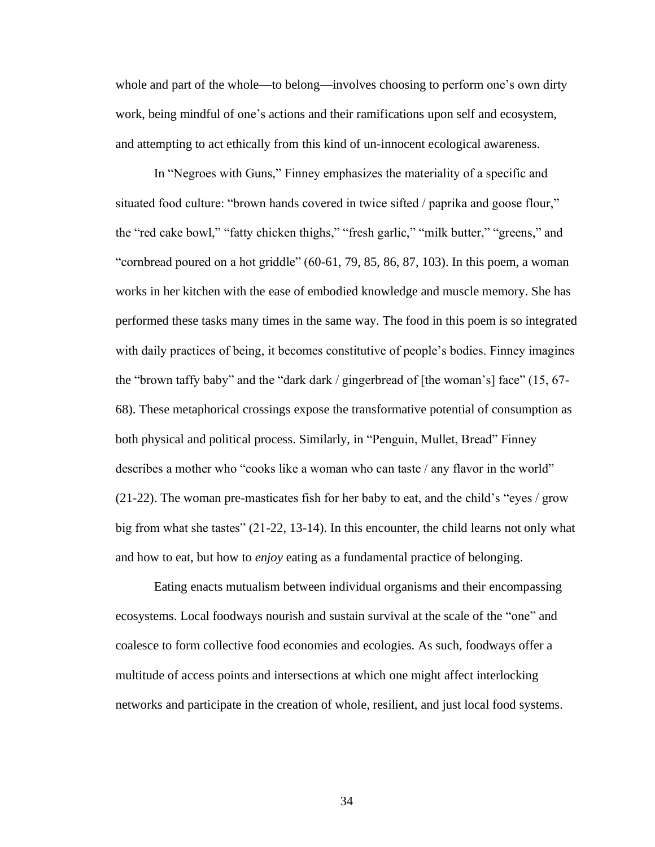whole and part of the whole—to belong—involves choosing to perform one's own dirty work, being mindful of one's actions and their ramifications upon self and ecosystem, and attempting to act ethically from this kind of un-innocent ecological awareness.

In "Negroes with Guns," Finney emphasizes the materiality of a specific and situated food culture: "brown hands covered in twice sifted / paprika and goose flour," the "red cake bowl," "fatty chicken thighs," "fresh garlic," "milk butter," "greens," and "cornbread poured on a hot griddle"  $(60-61, 79, 85, 86, 87, 103)$ . In this poem, a woman works in her kitchen with the ease of embodied knowledge and muscle memory. She has performed these tasks many times in the same way. The food in this poem is so integrated with daily practices of being, it becomes constitutive of people's bodies. Finney imagines the "brown taffy baby" and the "dark dark / gingerbread of [the woman's] face" (15, 67- 68). These metaphorical crossings expose the transformative potential of consumption as both physical and political process. Similarly, in "Penguin, Mullet, Bread" Finney describes a mother who "cooks like a woman who can taste / any flavor in the world"  $(21-22)$ . The woman pre-masticates fish for her baby to eat, and the child's "eyes / grow big from what she tastes" (21-22, 13-14). In this encounter, the child learns not only what and how to eat, but how to *enjoy* eating as a fundamental practice of belonging.

Eating enacts mutualism between individual organisms and their encompassing ecosystems. Local foodways nourish and sustain survival at the scale of the "one" and coalesce to form collective food economies and ecologies. As such, foodways offer a multitude of access points and intersections at which one might affect interlocking networks and participate in the creation of whole, resilient, and just local food systems.

34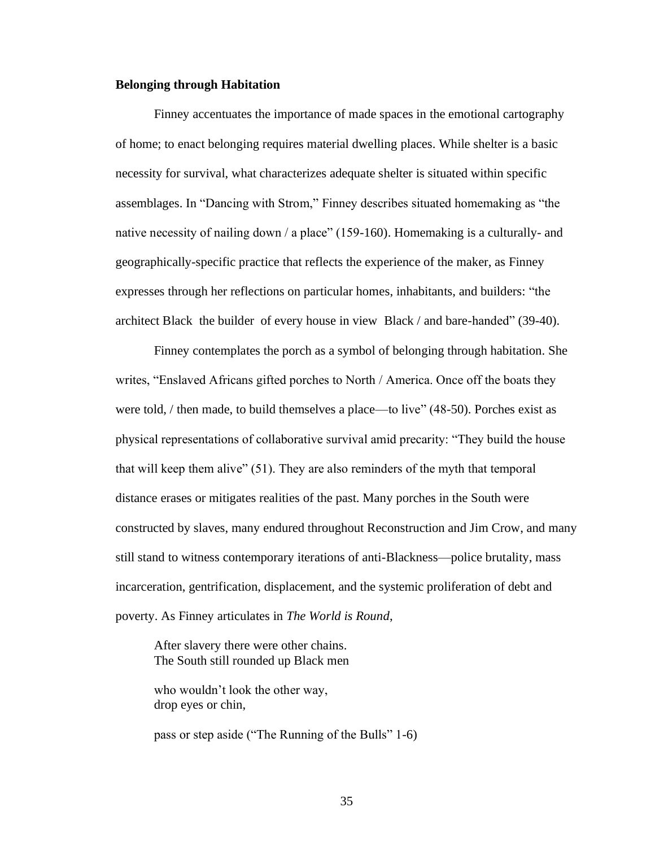#### **Belonging through Habitation**

Finney accentuates the importance of made spaces in the emotional cartography of home; to enact belonging requires material dwelling places. While shelter is a basic necessity for survival, what characterizes adequate shelter is situated within specific assemblages. In "Dancing with Strom," Finney describes situated homemaking as "the native necessity of nailing down / a place" (159-160). Homemaking is a culturally- and geographically-specific practice that reflects the experience of the maker, as Finney expresses through her reflections on particular homes, inhabitants, and builders: "the architect Black the builder of every house in view Black / and bare-handed" (39-40).

Finney contemplates the porch as a symbol of belonging through habitation. She writes, "Enslaved Africans gifted porches to North / America. Once off the boats they were told, / then made, to build themselves a place—to live" (48-50). Porches exist as physical representations of collaborative survival amid precarity: "They build the house that will keep them alive" (51). They are also reminders of the myth that temporal distance erases or mitigates realities of the past. Many porches in the South were constructed by slaves, many endured throughout Reconstruction and Jim Crow, and many still stand to witness contemporary iterations of anti-Blackness—police brutality, mass incarceration, gentrification, displacement, and the systemic proliferation of debt and poverty. As Finney articulates in *The World is Round*,

After slavery there were other chains. The South still rounded up Black men

who wouldn't look the other way, drop eyes or chin,

pass or step aside ("The Running of the Bulls" 1-6)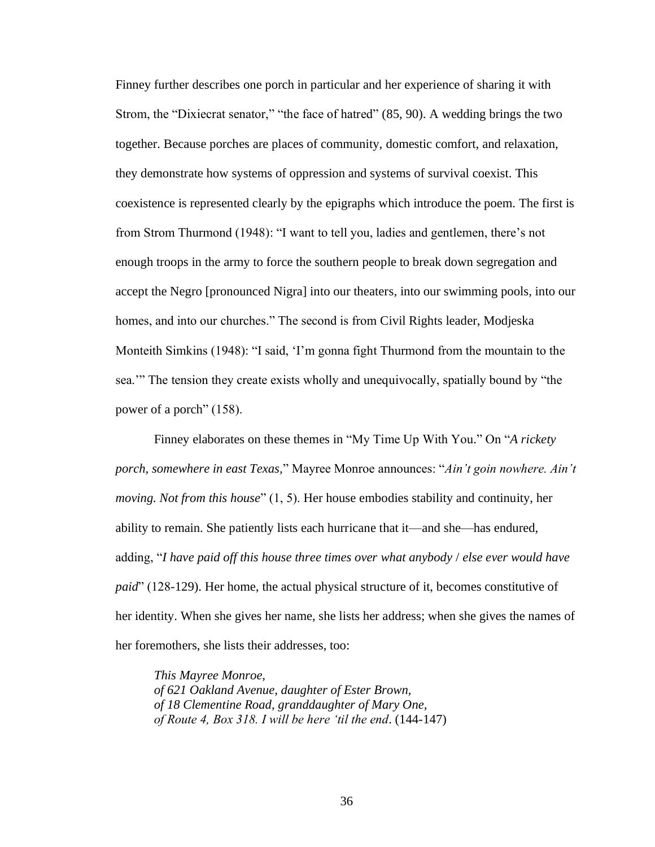Finney further describes one porch in particular and her experience of sharing it with Strom, the "Dixiecrat senator," "the face of hatred" (85, 90). A wedding brings the two together. Because porches are places of community, domestic comfort, and relaxation, they demonstrate how systems of oppression and systems of survival coexist. This coexistence is represented clearly by the epigraphs which introduce the poem. The first is from Strom Thurmond (1948): "I want to tell you, ladies and gentlemen, there's not enough troops in the army to force the southern people to break down segregation and accept the Negro [pronounced Nigra] into our theaters, into our swimming pools, into our homes, and into our churches." The second is from Civil Rights leader, Modjeska Monteith Simkins (1948): "I said, 'I'm gonna fight Thurmond from the mountain to the sea.'" The tension they create exists wholly and unequivocally, spatially bound by "the power of a porch" (158).

Finney elaborates on these themes in "My Time Up With You." On "*A rickety porch, somewhere in east Texas,*" Mayree Monroe announces: "*Ain't goin nowhere. Ain't moving. Not from this house*" (1, 5). Her house embodies stability and continuity, her ability to remain. She patiently lists each hurricane that it—and she—has endured, adding, "*I have paid off this house three times over what anybody* / *else ever would have paid*" (128-129). Her home, the actual physical structure of it, becomes constitutive of her identity. When she gives her name, she lists her address; when she gives the names of her foremothers, she lists their addresses, too:

*This Mayree Monroe, of 621 Oakland Avenue, daughter of Ester Brown, of 18 Clementine Road, granddaughter of Mary One, of Route 4, Box 318. I will be here 'til the end*. (144-147)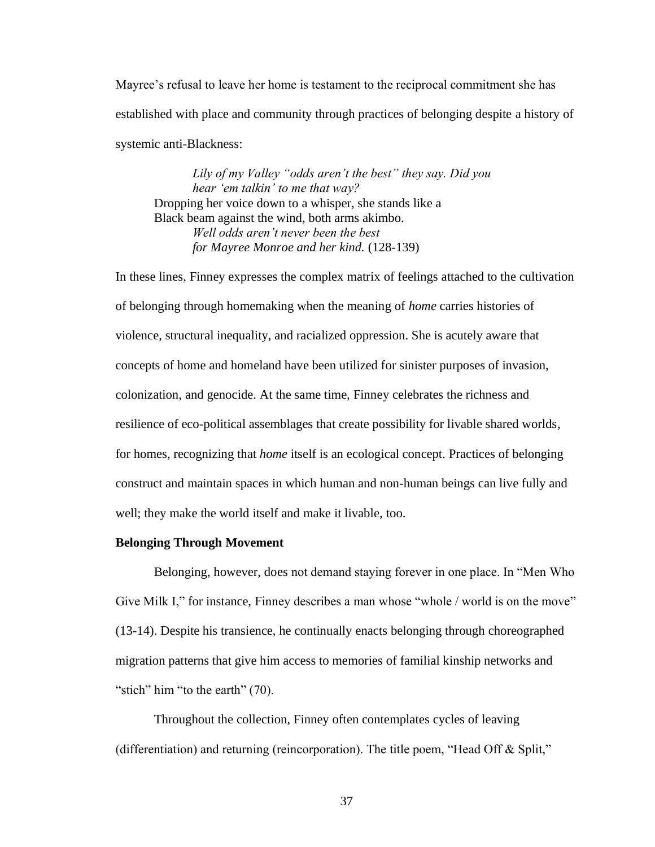Mayree's refusal to leave her home is testament to the reciprocal commitment she has established with place and community through practices of belonging despite a history of systemic anti-Blackness:

*Lily of my Valley "odds aren't the best" they say. Did you hear 'em talkin' to me that way?*  Dropping her voice down to a whisper, she stands like a Black beam against the wind, both arms akimbo. *Well odds aren't never been the best for Mayree Monroe and her kind.* (128-139)

In these lines, Finney expresses the complex matrix of feelings attached to the cultivation of belonging through homemaking when the meaning of *home* carries histories of violence, structural inequality, and racialized oppression. She is acutely aware that concepts of home and homeland have been utilized for sinister purposes of invasion, colonization, and genocide. At the same time, Finney celebrates the richness and resilience of eco-political assemblages that create possibility for livable shared worlds, for homes, recognizing that *home* itself is an ecological concept. Practices of belonging construct and maintain spaces in which human and non-human beings can live fully and well; they make the world itself and make it livable, too.

#### **Belonging Through Movement**

Belonging, however, does not demand staying forever in one place. In "Men Who Give Milk I," for instance, Finney describes a man whose "whole / world is on the move" (13-14). Despite his transience, he continually enacts belonging through choreographed migration patterns that give him access to memories of familial kinship networks and "stich" him "to the earth" (70).

Throughout the collection, Finney often contemplates cycles of leaving (differentiation) and returning (reincorporation). The title poem, "Head Off & Split,"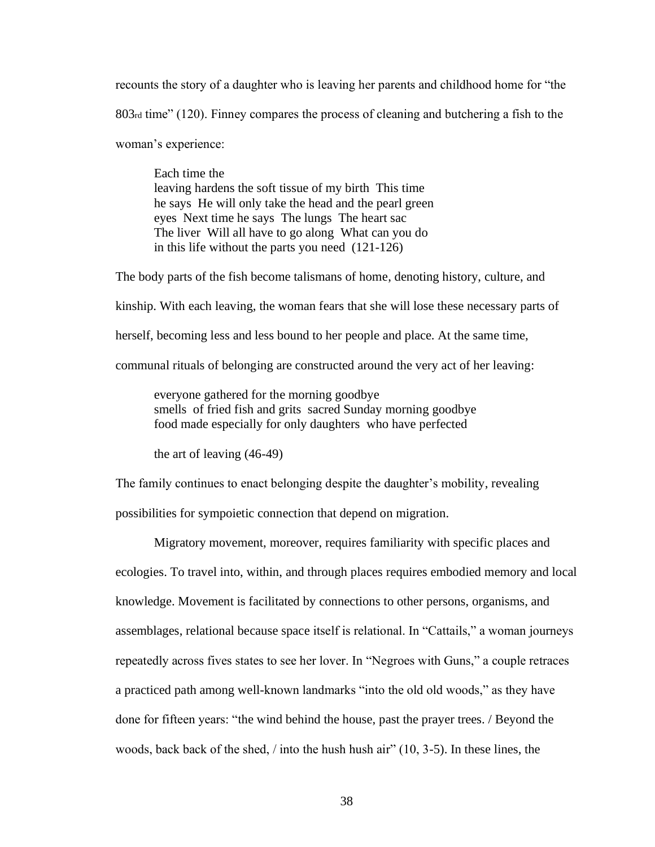recounts the story of a daughter who is leaving her parents and childhood home for "the 803rd time" (120). Finney compares the process of cleaning and butchering a fish to the woman's experience:

Each time the leaving hardens the soft tissue of my birth This time he says He will only take the head and the pearl green eyes Next time he says The lungs The heart sac The liver Will all have to go along What can you do in this life without the parts you need (121-126)

The body parts of the fish become talismans of home, denoting history, culture, and

kinship. With each leaving, the woman fears that she will lose these necessary parts of

herself, becoming less and less bound to her people and place. At the same time,

communal rituals of belonging are constructed around the very act of her leaving:

everyone gathered for the morning goodbye smells of fried fish and grits sacred Sunday morning goodbye food made especially for only daughters who have perfected

the art of leaving (46-49)

The family continues to enact belonging despite the daughter's mobility, revealing

possibilities for sympoietic connection that depend on migration.

Migratory movement, moreover, requires familiarity with specific places and ecologies. To travel into, within, and through places requires embodied memory and local knowledge. Movement is facilitated by connections to other persons, organisms, and assemblages, relational because space itself is relational. In "Cattails," a woman journeys repeatedly across fives states to see her lover. In "Negroes with Guns," a couple retraces a practiced path among well-known landmarks "into the old old woods," as they have done for fifteen years: "the wind behind the house, past the prayer trees. / Beyond the woods, back back of the shed, / into the hush hush air" (10, 3-5). In these lines, the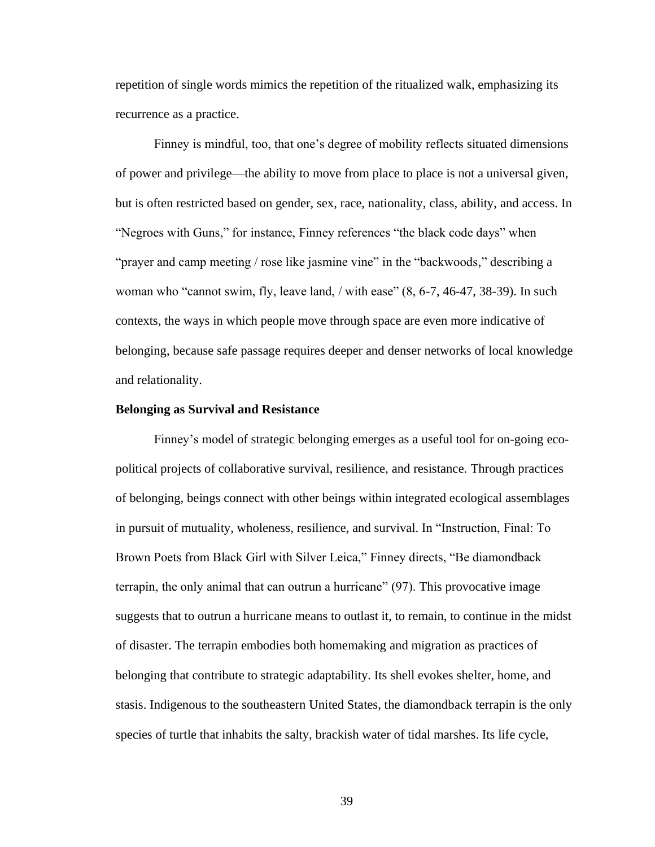repetition of single words mimics the repetition of the ritualized walk, emphasizing its recurrence as a practice.

Finney is mindful, too, that one's degree of mobility reflects situated dimensions of power and privilege—the ability to move from place to place is not a universal given, but is often restricted based on gender, sex, race, nationality, class, ability, and access. In "Negroes with Guns," for instance, Finney references "the black code days" when "prayer and camp meeting / rose like jasmine vine" in the "backwoods," describing a woman who "cannot swim, fly, leave land, / with ease" (8, 6-7, 46-47, 38-39). In such contexts, the ways in which people move through space are even more indicative of belonging, because safe passage requires deeper and denser networks of local knowledge and relationality.

#### **Belonging as Survival and Resistance**

Finney's model of strategic belonging emerges as a useful tool for on-going ecopolitical projects of collaborative survival, resilience, and resistance. Through practices of belonging, beings connect with other beings within integrated ecological assemblages in pursuit of mutuality, wholeness, resilience, and survival. In "Instruction, Final: To Brown Poets from Black Girl with Silver Leica," Finney directs, "Be diamondback terrapin, the only animal that can outrun a hurricane" (97). This provocative image suggests that to outrun a hurricane means to outlast it, to remain, to continue in the midst of disaster. The terrapin embodies both homemaking and migration as practices of belonging that contribute to strategic adaptability. Its shell evokes shelter, home, and stasis. Indigenous to the southeastern United States, the diamondback terrapin is the only species of turtle that inhabits the salty, brackish water of tidal marshes. Its life cycle,

39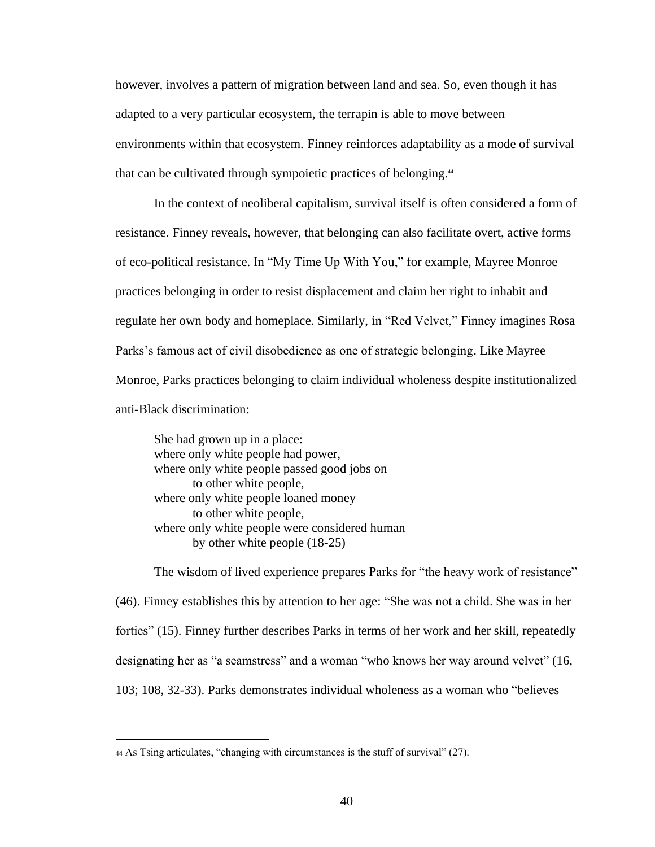however, involves a pattern of migration between land and sea. So, even though it has adapted to a very particular ecosystem, the terrapin is able to move between environments within that ecosystem. Finney reinforces adaptability as a mode of survival that can be cultivated through sympoietic practices of belonging.<sup>44</sup>

In the context of neoliberal capitalism, survival itself is often considered a form of resistance. Finney reveals, however, that belonging can also facilitate overt, active forms of eco-political resistance. In "My Time Up With You," for example, Mayree Monroe practices belonging in order to resist displacement and claim her right to inhabit and regulate her own body and homeplace. Similarly, in "Red Velvet," Finney imagines Rosa Parks's famous act of civil disobedience as one of strategic belonging. Like Mayree Monroe, Parks practices belonging to claim individual wholeness despite institutionalized anti-Black discrimination:

She had grown up in a place: where only white people had power, where only white people passed good jobs on to other white people, where only white people loaned money to other white people, where only white people were considered human by other white people (18-25)

The wisdom of lived experience prepares Parks for "the heavy work of resistance" (46). Finney establishes this by attention to her age: "She was not a child. She was in her forties" (15). Finney further describes Parks in terms of her work and her skill, repeatedly designating her as "a seamstress" and a woman "who knows her way around velvet" (16, 103; 108, 32-33). Parks demonstrates individual wholeness as a woman who "believes

<sup>44</sup> As Tsing articulates, "changing with circumstances is the stuff of survival" (27).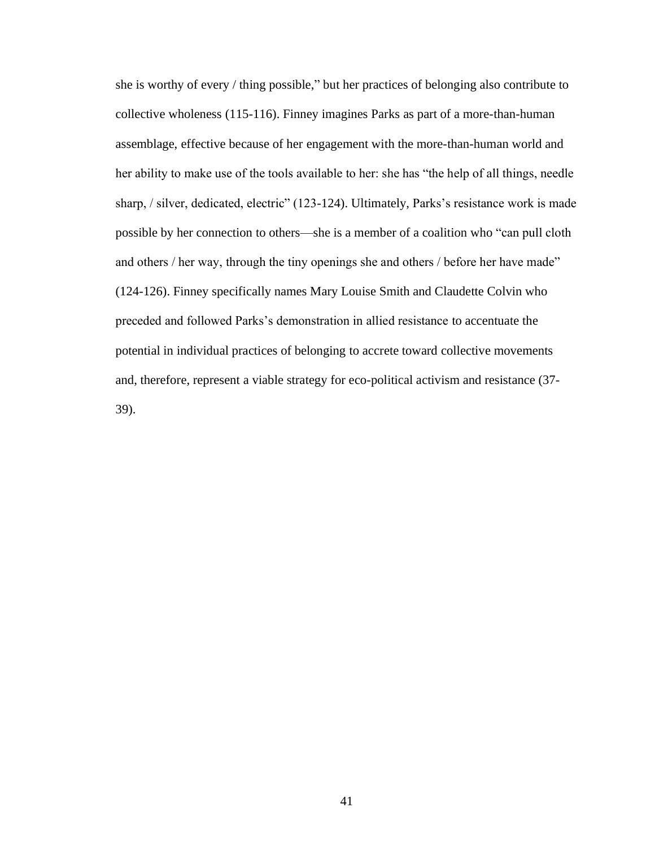she is worthy of every / thing possible," but her practices of belonging also contribute to collective wholeness (115-116). Finney imagines Parks as part of a more-than-human assemblage, effective because of her engagement with the more-than-human world and her ability to make use of the tools available to her: she has "the help of all things, needle sharp, / silver, dedicated, electric" (123-124). Ultimately, Parks's resistance work is made possible by her connection to others—she is a member of a coalition who "can pull cloth and others / her way, through the tiny openings she and others / before her have made" (124-126). Finney specifically names Mary Louise Smith and Claudette Colvin who preceded and followed Parks's demonstration in allied resistance to accentuate the potential in individual practices of belonging to accrete toward collective movements and, therefore, represent a viable strategy for eco-political activism and resistance (37- 39).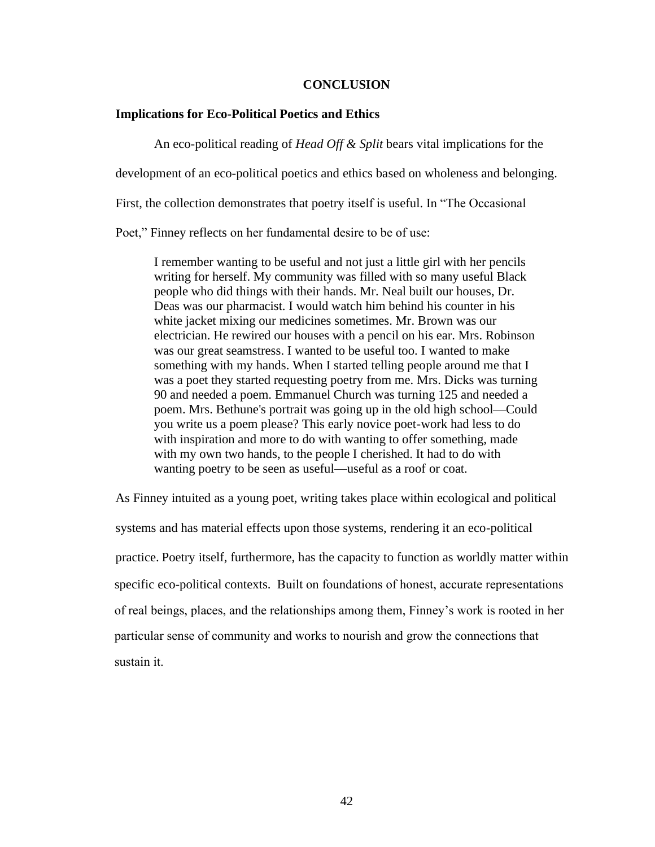#### **CONCLUSION**

#### **Implications for Eco-Political Poetics and Ethics**

An eco-political reading of *Head Off & Split* bears vital implications for the development of an eco-political poetics and ethics based on wholeness and belonging. First, the collection demonstrates that poetry itself is useful. In "The Occasional Poet," Finney reflects on her fundamental desire to be of use:

I remember wanting to be useful and not just a little girl with her pencils writing for herself. My community was filled with so many useful Black people who did things with their hands. Mr. Neal built our houses, Dr. Deas was our pharmacist. I would watch him behind his counter in his white jacket mixing our medicines sometimes. Mr. Brown was our electrician. He rewired our houses with a pencil on his ear. Mrs. Robinson was our great seamstress. I wanted to be useful too. I wanted to make something with my hands. When I started telling people around me that I was a poet they started requesting poetry from me. Mrs. Dicks was turning 90 and needed a poem. Emmanuel Church was turning 125 and needed a poem. Mrs. Bethune's portrait was going up in the old high school—Could you write us a poem please? This early novice poet-work had less to do with inspiration and more to do with wanting to offer something, made with my own two hands, to the people I cherished. It had to do with wanting poetry to be seen as useful—useful as a roof or coat.

As Finney intuited as a young poet, writing takes place within ecological and political systems and has material effects upon those systems, rendering it an eco-political practice. Poetry itself, furthermore, has the capacity to function as worldly matter within specific eco-political contexts. Built on foundations of honest, accurate representations of real beings, places, and the relationships among them, Finney's work is rooted in her particular sense of community and works to nourish and grow the connections that sustain it.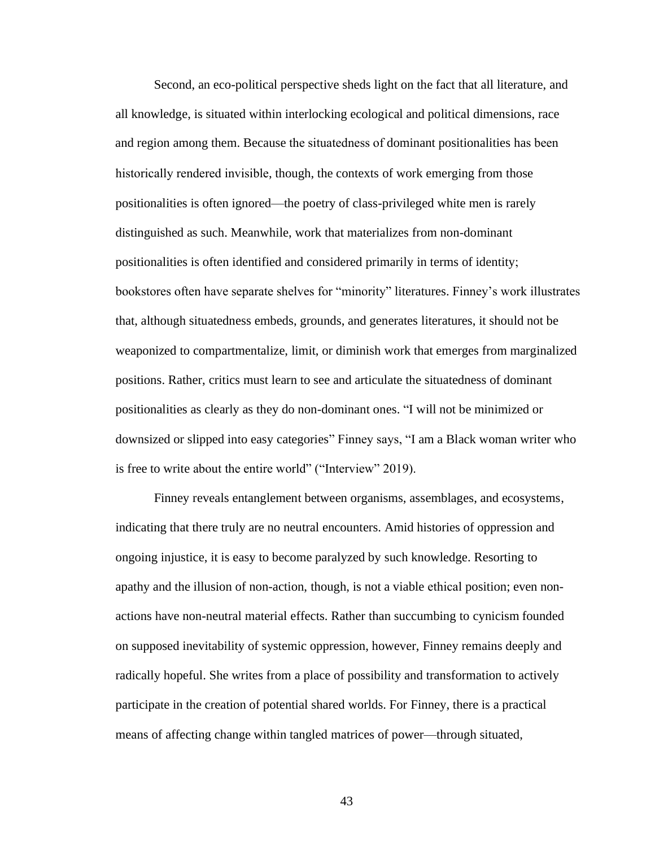Second, an eco-political perspective sheds light on the fact that all literature, and all knowledge, is situated within interlocking ecological and political dimensions, race and region among them. Because the situatedness of dominant positionalities has been historically rendered invisible, though, the contexts of work emerging from those positionalities is often ignored—the poetry of class-privileged white men is rarely distinguished as such. Meanwhile, work that materializes from non-dominant positionalities is often identified and considered primarily in terms of identity; bookstores often have separate shelves for "minority" literatures. Finney's work illustrates that, although situatedness embeds, grounds, and generates literatures, it should not be weaponized to compartmentalize, limit, or diminish work that emerges from marginalized positions. Rather, critics must learn to see and articulate the situatedness of dominant positionalities as clearly as they do non-dominant ones. "I will not be minimized or downsized or slipped into easy categories" Finney says, "I am a Black woman writer who is free to write about the entire world" ("Interview" 2019).

Finney reveals entanglement between organisms, assemblages, and ecosystems, indicating that there truly are no neutral encounters. Amid histories of oppression and ongoing injustice, it is easy to become paralyzed by such knowledge. Resorting to apathy and the illusion of non-action, though, is not a viable ethical position; even nonactions have non-neutral material effects. Rather than succumbing to cynicism founded on supposed inevitability of systemic oppression, however, Finney remains deeply and radically hopeful. She writes from a place of possibility and transformation to actively participate in the creation of potential shared worlds. For Finney, there is a practical means of affecting change within tangled matrices of power—through situated,

43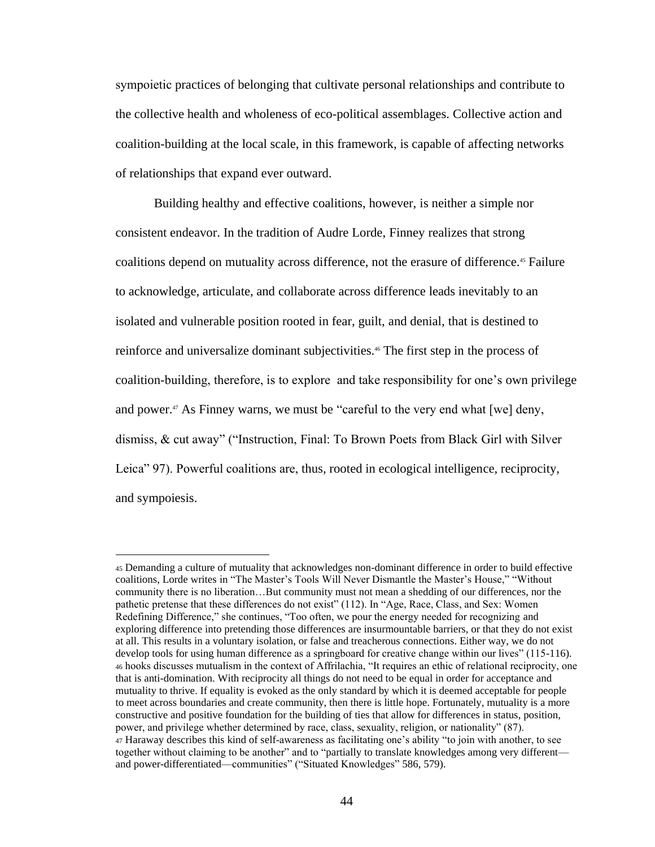sympoietic practices of belonging that cultivate personal relationships and contribute to the collective health and wholeness of eco-political assemblages. Collective action and coalition-building at the local scale, in this framework, is capable of affecting networks of relationships that expand ever outward.

Building healthy and effective coalitions, however, is neither a simple nor consistent endeavor. In the tradition of Audre Lorde, Finney realizes that strong coalitions depend on mutuality across difference, not the erasure of difference.<sup>45</sup> Failure to acknowledge, articulate, and collaborate across difference leads inevitably to an isolated and vulnerable position rooted in fear, guilt, and denial, that is destined to reinforce and universalize dominant subjectivities.46 The first step in the process of coalition-building, therefore, is to explore and take responsibility for one's own privilege and power.<sup>47</sup> As Finney warns, we must be "careful to the very end what [we] deny, dismiss, & cut away" ("Instruction, Final: To Brown Poets from Black Girl with Silver Leica" 97). Powerful coalitions are, thus, rooted in ecological intelligence, reciprocity, and sympoiesis.

<sup>45</sup> Demanding a culture of mutuality that acknowledges non-dominant difference in order to build effective coalitions, Lorde writes in "The Master's Tools Will Never Dismantle the Master's House," "Without community there is no liberation…But community must not mean a shedding of our differences, nor the pathetic pretense that these differences do not exist" (112). In "Age, Race, Class, and Sex: Women Redefining Difference," she continues, "Too often, we pour the energy needed for recognizing and exploring difference into pretending those differences are insurmountable barriers, or that they do not exist at all. This results in a voluntary isolation, or false and treacherous connections. Either way, we do not develop tools for using human difference as a springboard for creative change within our lives" (115-116). <sup>46</sup> hooks discusses mutualism in the context of Affrilachia, "It requires an ethic of relational reciprocity, one that is anti-domination. With reciprocity all things do not need to be equal in order for acceptance and mutuality to thrive. If equality is evoked as the only standard by which it is deemed acceptable for people to meet across boundaries and create community, then there is little hope. Fortunately, mutuality is a more constructive and positive foundation for the building of ties that allow for differences in status, position, power, and privilege whether determined by race, class, sexuality, religion, or nationality" (87). <sup>47</sup> Haraway describes this kind of self-awareness as facilitating one's ability "to join with another, to see together without claiming to be another" and to "partially to translate knowledges among very different and power-differentiated—communities" ("Situated Knowledges" 586, 579).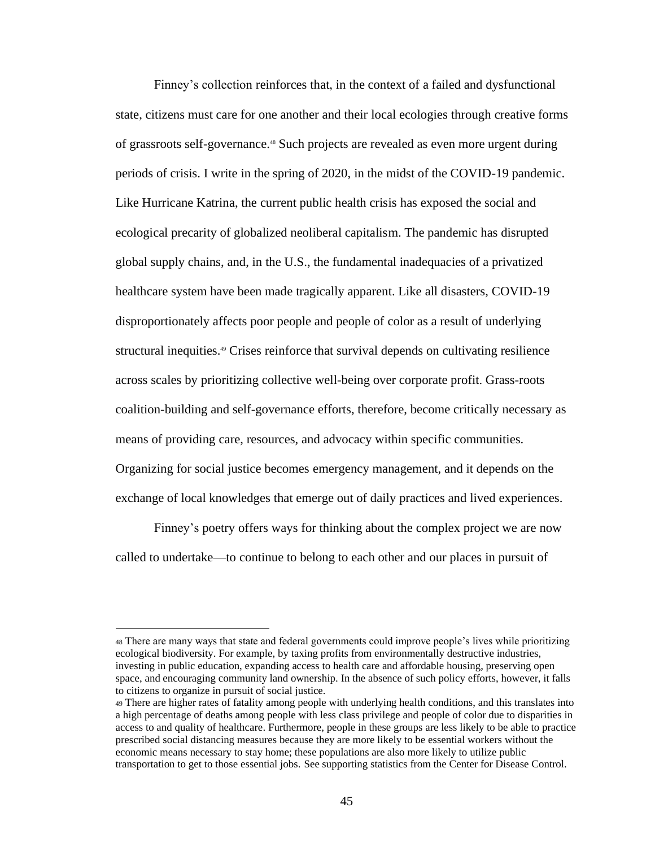Finney's collection reinforces that, in the context of a failed and dysfunctional state, citizens must care for one another and their local ecologies through creative forms of grassroots self-governance.48 Such projects are revealed as even more urgent during periods of crisis. I write in the spring of 2020, in the midst of the COVID-19 pandemic. Like Hurricane Katrina, the current public health crisis has exposed the social and ecological precarity of globalized neoliberal capitalism. The pandemic has disrupted global supply chains, and, in the U.S., the fundamental inadequacies of a privatized healthcare system have been made tragically apparent. Like all disasters, COVID-19 disproportionately affects poor people and people of color as a result of underlying structural inequities.<sup>49</sup> Crises reinforce that survival depends on cultivating resilience across scales by prioritizing collective well-being over corporate profit. Grass-roots coalition-building and self-governance efforts, therefore, become critically necessary as means of providing care, resources, and advocacy within specific communities. Organizing for social justice becomes emergency management, and it depends on the exchange of local knowledges that emerge out of daily practices and lived experiences.

Finney's poetry offers ways for thinking about the complex project we are now called to undertake—to continue to belong to each other and our places in pursuit of

<sup>48</sup> There are many ways that state and federal governments could improve people's lives while prioritizing ecological biodiversity. For example, by taxing profits from environmentally destructive industries, investing in public education, expanding access to health care and affordable housing, preserving open space, and encouraging community land ownership. In the absence of such policy efforts, however, it falls to citizens to organize in pursuit of social justice.

<sup>49</sup> There are higher rates of fatality among people with underlying health conditions, and this translates into a high percentage of deaths among people with less class privilege and people of color due to disparities in access to and quality of healthcare. Furthermore, people in these groups are less likely to be able to practice prescribed social distancing measures because they are more likely to be essential workers without the economic means necessary to stay home; these populations are also more likely to utilize public transportation to get to those essential jobs. See supporting statistics from the Center for Disease Control.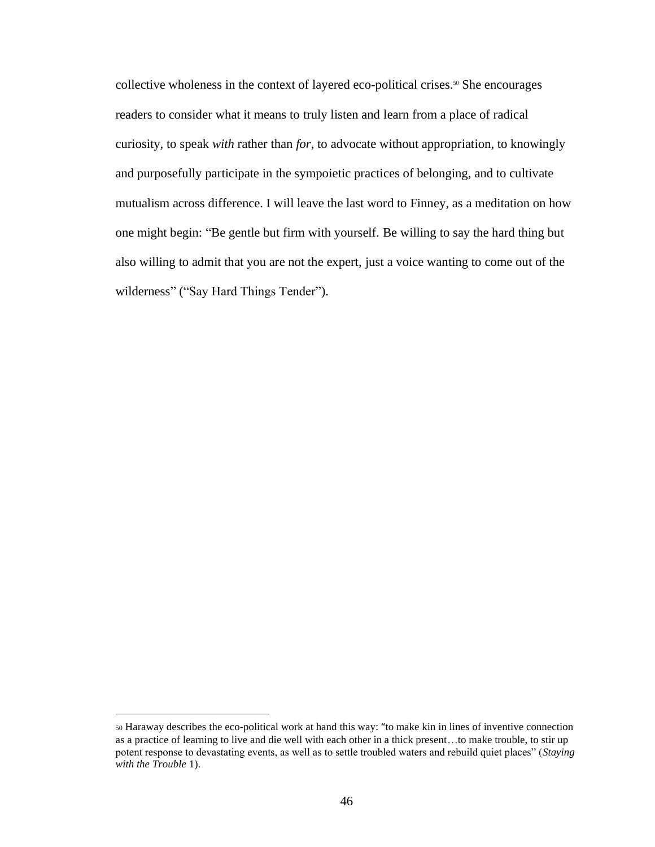collective wholeness in the context of layered eco-political crises.<sup>50</sup> She encourages readers to consider what it means to truly listen and learn from a place of radical curiosity, to speak *with* rather than *for*, to advocate without appropriation, to knowingly and purposefully participate in the sympoietic practices of belonging, and to cultivate mutualism across difference. I will leave the last word to Finney, as a meditation on how one might begin: "Be gentle but firm with yourself. Be willing to say the hard thing but also willing to admit that you are not the expert, just a voice wanting to come out of the wilderness" ("Say Hard Things Tender").

<sup>50</sup> Haraway describes the eco-political work at hand this way: "to make kin in lines of inventive connection as a practice of learning to live and die well with each other in a thick present…to make trouble, to stir up potent response to devastating events, as well as to settle troubled waters and rebuild quiet places" (*Staying with the Trouble* 1).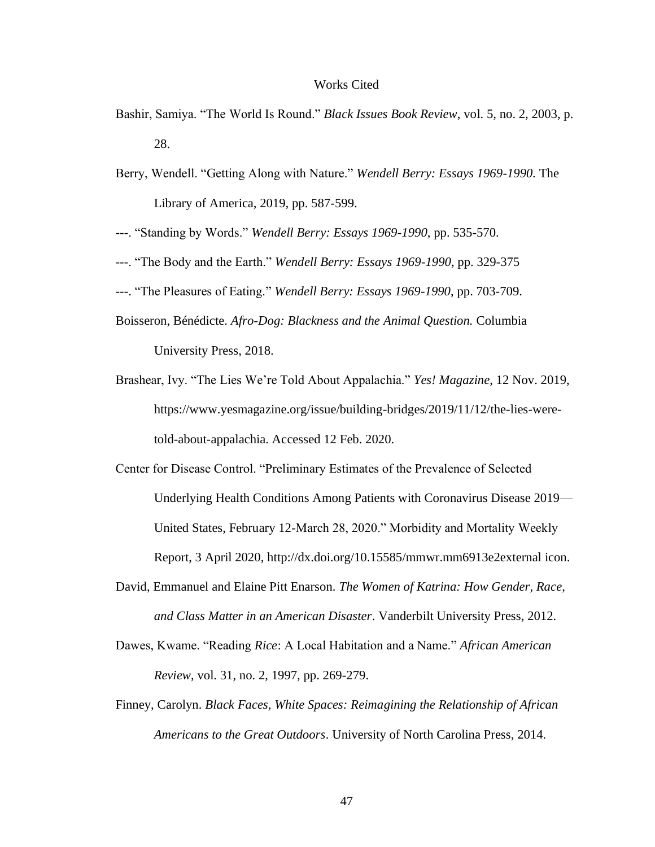#### Works Cited

- Bashir, Samiya. "The World Is Round." *Black Issues Book Review*, vol. 5, no. 2, 2003, p. 28.
- Berry, Wendell. "Getting Along with Nature." *Wendell Berry: Essays 1969-1990.* The Library of America, 2019, pp. 587-599.
- ---. "Standing by Words." *Wendell Berry: Essays 1969-1990*, pp. 535-570.
- ---. "The Body and the Earth." *Wendell Berry: Essays 1969-1990*, pp. 329-375
- ---. "The Pleasures of Eating." *Wendell Berry: Essays 1969-1990*, pp. 703-709.
- Boisseron, Bénédicte. *Afro-Dog: Blackness and the Animal Question.* Columbia University Press, 2018.
- Brashear, Ivy. "The Lies We're Told About Appalachia." *Yes! Magazine*, 12 Nov. 2019, https://www.yesmagazine.org/issue/building-bridges/2019/11/12/the-lies-weretold-about-appalachia. Accessed 12 Feb. 2020.
- Center for Disease Control. "Preliminary Estimates of the Prevalence of Selected Underlying Health Conditions Among Patients with Coronavirus Disease 2019— United States, February 12-March 28, 2020." Morbidity and Mortality Weekly Report, 3 April 2020, http://dx.doi.org/10.15585/mmwr.mm6913e2external icon.
- David, Emmanuel and Elaine Pitt Enarson. *The Women of Katrina: How Gender, Race, and Class Matter in an American Disaster*. Vanderbilt University Press, 2012.
- Dawes, Kwame. "Reading *Rice*: A Local Habitation and a Name." *African American Review*, vol. 31, no. 2, 1997, pp. 269-279.
- Finney, Carolyn. *Black Faces, White Spaces: Reimagining the Relationship of African Americans to the Great Outdoors*. University of North Carolina Press, 2014.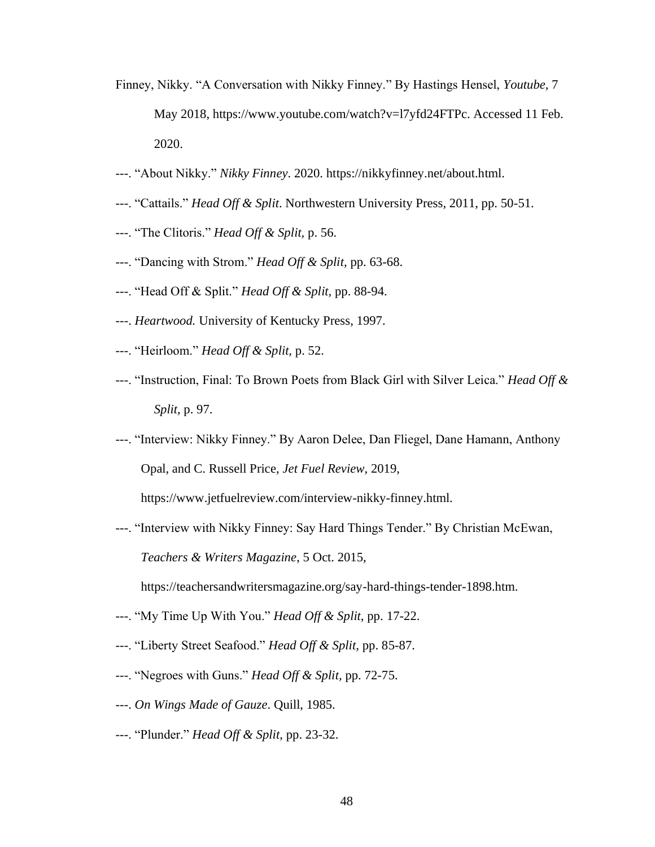- Finney, Nikky. "A Conversation with Nikky Finney." By Hastings Hensel, *Youtube*, 7 May 2018, https://www.youtube.com/watch?v=l7yfd24FTPc. Accessed 11 Feb. 2020.
- ---. "About Nikky." *Nikky Finney*. 2020. https://nikkyfinney.net/about.html.
- ---. "Cattails." *Head Off & Split*. Northwestern University Press, 2011, pp. 50-51.
- ---. "The Clitoris." *Head Off & Split,* p. 56.
- ---. "Dancing with Strom." *Head Off & Split,* pp. 63-68.
- ---. "Head Off & Split." *Head Off & Split,* pp. 88-94.
- ---. *Heartwood.* University of Kentucky Press, 1997.
- ---. "Heirloom." *Head Off & Split,* p. 52.
- ---. "Instruction, Final: To Brown Poets from Black Girl with Silver Leica." *Head Off & Split,* p. 97.
- ---. "Interview: Nikky Finney." By Aaron Delee, Dan Fliegel, Dane Hamann, Anthony Opal, and C. Russell Price, *Jet Fuel Review*, 2019,

https://www.jetfuelreview.com/interview-nikky-finney.html.

---. "Interview with Nikky Finney: Say Hard Things Tender." By Christian McEwan, *Teachers & Writers Magazine*, 5 Oct. 2015,

https://teachersandwritersmagazine.org/say-hard-things-tender-1898.htm.

- ---. "My Time Up With You." *Head Off & Split,* pp. 17-22.
- ---. "Liberty Street Seafood." *Head Off & Split,* pp. 85-87.
- ---. "Negroes with Guns." *Head Off & Split,* pp. 72-75.
- ---. *On Wings Made of Gauze*. Quill, 1985.
- ---. "Plunder." *Head Off & Split*, pp. 23-32.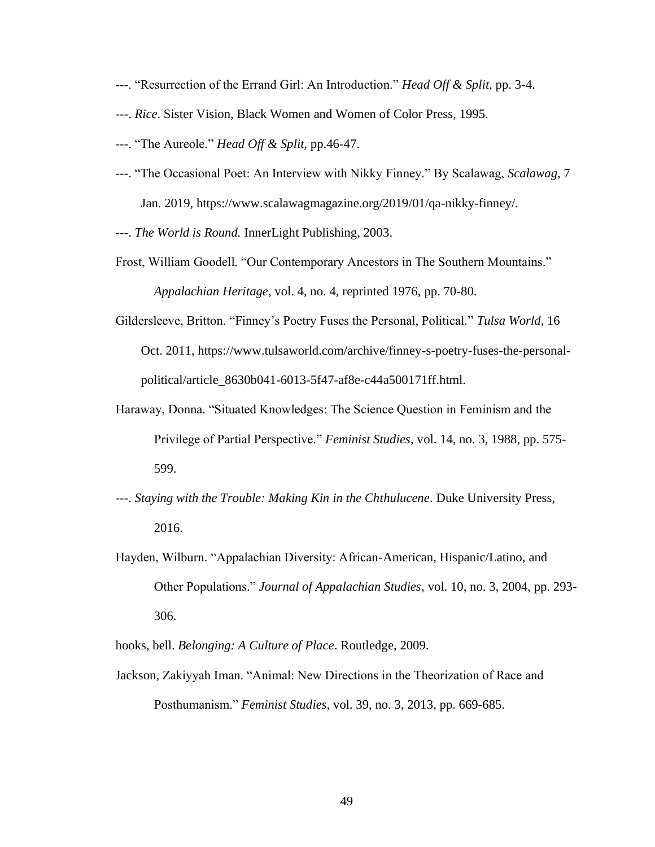- ---. "Resurrection of the Errand Girl: An Introduction." *Head Off & Split,* pp. 3-4.
- ---. *Rice*. Sister Vision, Black Women and Women of Color Press, 1995.
- ---. "The Aureole." *Head Off & Split,* pp.46-47.
- ---. "The Occasional Poet: An Interview with Nikky Finney." By Scalawag, *Scalawag*, 7 Jan. 2019, https://www.scalawagmagazine.org/2019/01/qa-nikky-finney/.
- ---. *The World is Round.* InnerLight Publishing, 2003.
- Frost, William Goodell. "Our Contemporary Ancestors in The Southern Mountains." *Appalachian Heritage*, vol. 4, no. 4, reprinted 1976, pp. 70-80.
- Gildersleeve, Britton. "Finney's Poetry Fuses the Personal, Political." *Tulsa World*, 16 Oct. 2011, https://www.tulsaworld.com/archive/finney-s-poetry-fuses-the-personalpolitical/article\_8630b041-6013-5f47-af8e-c44a500171ff.html.
- Haraway, Donna. "Situated Knowledges: The Science Question in Feminism and the Privilege of Partial Perspective." *Feminist Studies*, vol. 14, no. 3, 1988, pp. 575- 599.
- ---. *Staying with the Trouble: Making Kin in the Chthulucene*. Duke University Press, 2016.
- Hayden, Wilburn. "Appalachian Diversity: African-American, Hispanic/Latino, and Other Populations." *Journal of Appalachian Studies*, vol. 10, no. 3, 2004, pp. 293- 306.
- hooks, bell. *Belonging: A Culture of Place*. Routledge, 2009.
- Jackson, Zakiyyah Iman. "Animal: New Directions in the Theorization of Race and Posthumanism." *Feminist Studies*, vol. 39, no. 3, 2013, pp. 669-685.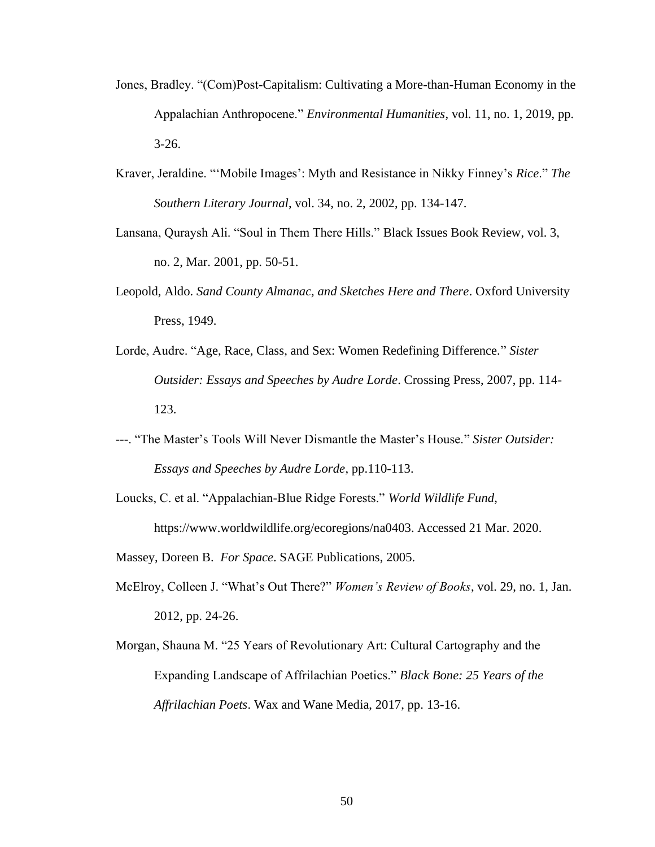- Jones, Bradley. "(Com)Post-Capitalism: Cultivating a More-than-Human Economy in the Appalachian Anthropocene." *Environmental Humanities*, vol. 11, no. 1, 2019, pp. 3-26.
- Kraver, Jeraldine. "'Mobile Images': Myth and Resistance in Nikky Finney's *Rice*." *The Southern Literary Journal*, vol. 34, no. 2, 2002, pp. 134-147.
- Lansana, Quraysh Ali. "Soul in Them There Hills." Black Issues Book Review, vol. 3, no. 2, Mar. 2001, pp. 50-51.
- Leopold, Aldo. *Sand County Almanac, and Sketches Here and There*. Oxford University Press, 1949.
- Lorde, Audre. "Age, Race, Class, and Sex: Women Redefining Difference." *Sister Outsider: Essays and Speeches by Audre Lorde*. Crossing Press, 2007, pp. 114- 123.
- ---. "The Master's Tools Will Never Dismantle the Master's House." *Sister Outsider: Essays and Speeches by Audre Lorde*, pp.110-113.
- Loucks, C. et al. "Appalachian-Blue Ridge Forests." *World Wildlife Fund*, https://www.worldwildlife.org/ecoregions/na0403. Accessed 21 Mar. 2020.
- Massey, Doreen B. *For Space*. SAGE Publications, 2005.
- McElroy, Colleen J. "What's Out There?" *Women's Review of Books*, vol. 29, no. 1, Jan. 2012, pp. 24-26.
- Morgan, Shauna M. "25 Years of Revolutionary Art: Cultural Cartography and the Expanding Landscape of Affrilachian Poetics." *Black Bone: 25 Years of the Affrilachian Poets*. Wax and Wane Media, 2017, pp. 13-16.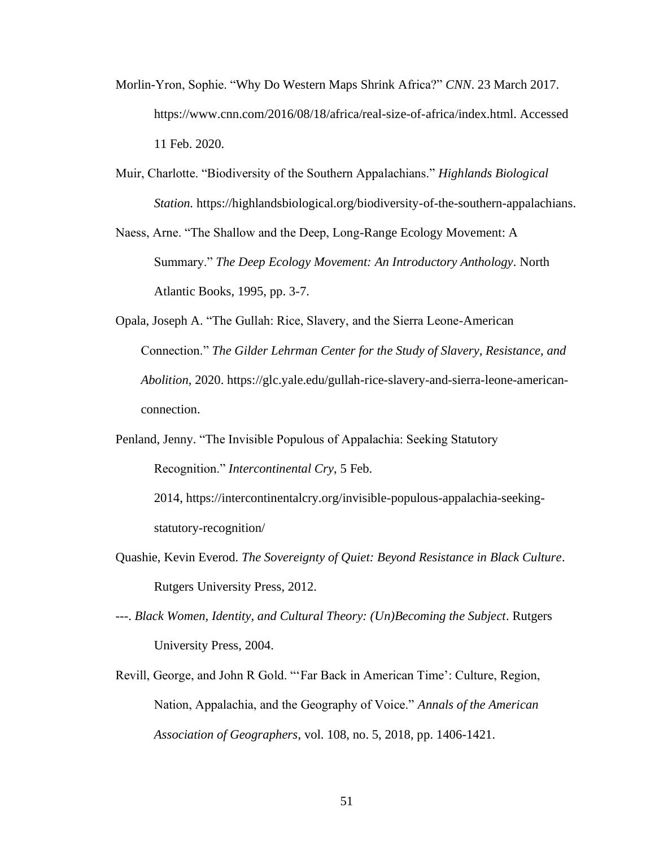- Morlin-Yron, Sophie. "Why Do Western Maps Shrink Africa?" *CNN*. 23 March 2017. https://www.cnn.com/2016/08/18/africa/real-size-of-africa/index.html. Accessed 11 Feb. 2020.
- Muir, Charlotte. "Biodiversity of the Southern Appalachians." *Highlands Biological Station.* [https://highlandsbiological.org/biodiversity-of-the-southern-appalachians.](https://highlandsbiological.org/biodiversity-of-the-southern-appalachians)
- Naess, Arne. "The Shallow and the Deep, Long-Range Ecology Movement: A Summary." *The Deep Ecology Movement: An Introductory Anthology*. North Atlantic Books, 1995, pp. 3-7.
- Opala, Joseph A. "The Gullah: Rice, Slavery, and the Sierra Leone-American Connection." *The Gilder Lehrman Center for the Study of Slavery, Resistance, and Abolition*, 2020. https://glc.yale.edu/gullah-rice-slavery-and-sierra-leone-americanconnection.
- Penland, Jenny. "The Invisible Populous of Appalachia: Seeking Statutory Recognition." *Intercontinental Cry*, 5 Feb.

2014, https://intercontinentalcry.org/invisible-populous-appalachia-seekingstatutory-recognition/

- Quashie, Kevin Everod. *The Sovereignty of Quiet: Beyond Resistance in Black Culture*. Rutgers University Press, 2012.
- ---. *Black Women, Identity, and Cultural Theory: (Un)Becoming the Subject*. Rutgers University Press, 2004.
- Revill, George, and John R Gold. "'Far Back in American Time': Culture, Region, Nation, Appalachia, and the Geography of Voice." *Annals of the American Association of Geographers*, vol. 108, no. 5, 2018, pp. 1406-1421.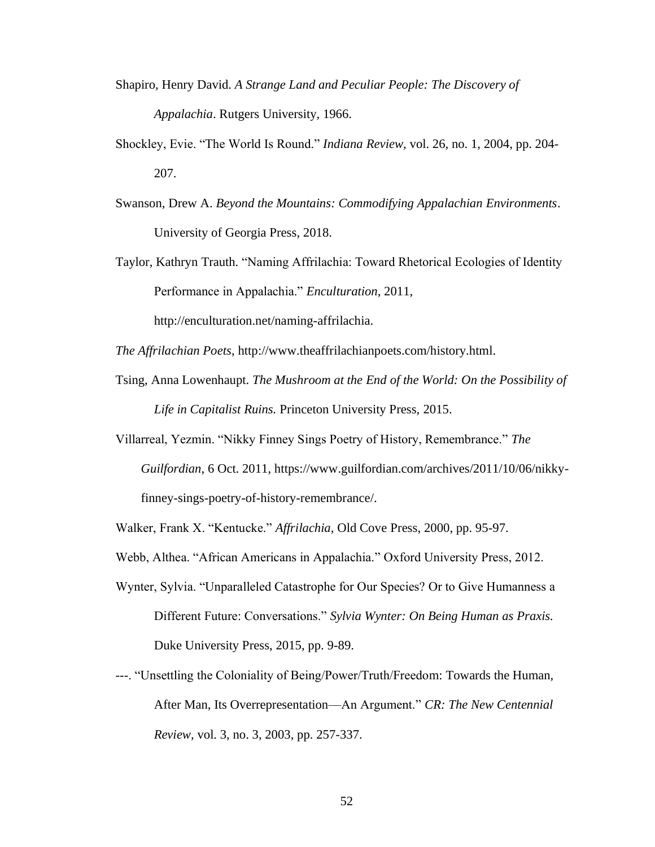- Shapiro, Henry David. *A Strange Land and Peculiar People: The Discovery of Appalachia*. Rutgers University, 1966.
- Shockley, Evie. "The World Is Round." *Indiana Review,* vol. 26, no. 1, 2004, pp. 204- 207.
- Swanson, Drew A. *Beyond the Mountains: Commodifying Appalachian Environments*. University of Georgia Press, 2018.
- Taylor, Kathryn Trauth. "Naming Affrilachia: Toward Rhetorical Ecologies of Identity Performance in Appalachia." *Enculturation*, 2011,

[http://enculturation.net/naming-affrilachia.](http://enculturation.net/naming-affrilachia)

*The Affrilachian Poets*, http://www.theaffrilachianpoets.com/history.html.

- Tsing, Anna Lowenhaupt. *The Mushroom at the End of the World: On the Possibility of Life in Capitalist Ruins.* Princeton University Press, 2015.
- Villarreal, Yezmin. "Nikky Finney Sings Poetry of History, Remembrance." *The Guilfordian*, 6 Oct. 2011, https://www.guilfordian.com/archives/2011/10/06/nikkyfinney-sings-poetry-of-history-remembrance/.
- Walker, Frank X. "Kentucke." *Affrilachia*, Old Cove Press, 2000, pp. 95-97.
- Webb, Althea. "African Americans in Appalachia." Oxford University Press, 2012.
- Wynter, Sylvia. "Unparalleled Catastrophe for Our Species? Or to Give Humanness a Different Future: Conversations." *Sylvia Wynter: On Being Human as Praxis.* Duke University Press, 2015, pp. 9-89.
- ---. "Unsettling the Coloniality of Being/Power/Truth/Freedom: Towards the Human, After Man, Its Overrepresentation—An Argument." *CR: The New Centennial Review,* vol. 3, no. 3, 2003, pp. 257-337.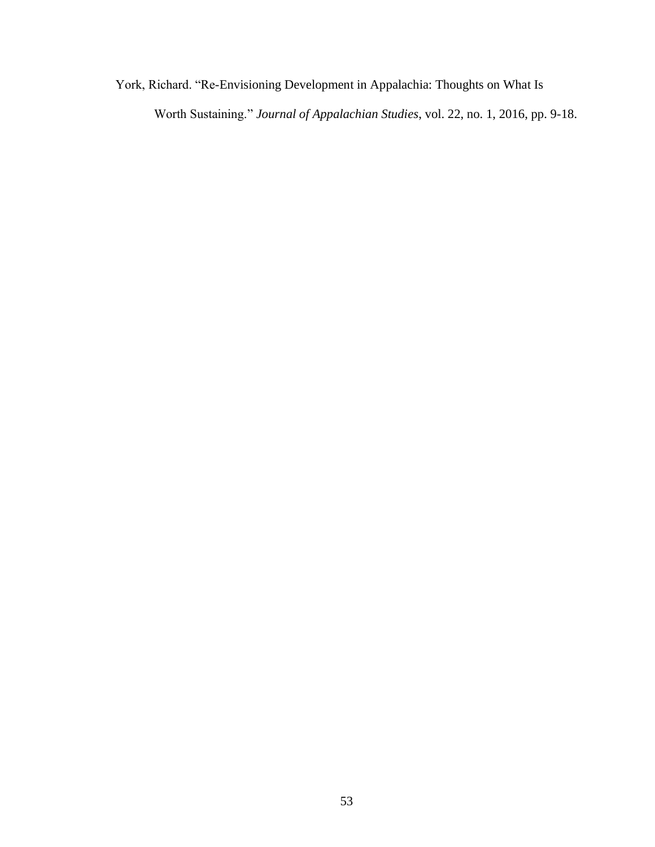York, Richard. "Re-Envisioning Development in Appalachia: Thoughts on What Is Worth Sustaining." *Journal of Appalachian Studies*, vol. 22, no. 1, 2016, pp. 9-18.